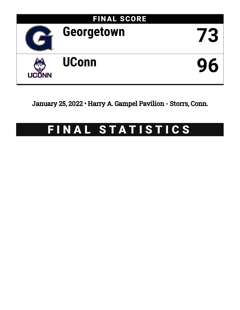

January 25, 2022 • Harry A. Gampel Pavilion - Storrs, Conn.

# FINAL STATISTICS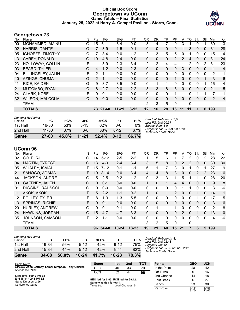# **Official Box Score Georgetown vs UConn Game Totals -- Final Statistics January 25, 2022 at Harry A. Gampel Pavilion - Storrs, Conn.**



# **Georgetown 73**

| No. | Player                  | S  | Pts           | FG       | 3FG       | FT.      | <b>OR</b>      | DR       | TR           | PF            | A        | TO            | Blk          | Stl          | Min | $+/-$ |
|-----|-------------------------|----|---------------|----------|-----------|----------|----------------|----------|--------------|---------------|----------|---------------|--------------|--------------|-----|-------|
| 00  | MOHAMMED, AMINU         | G  | 15            | $6 - 11$ | $3 - 4$   | $0 - 0$  | 3              | 4        |              | 0             | 3        |               | 0            |              | 30  | $-13$ |
| 02  | HARRIS, DANTE           | G  | 7             | $3-9$    | $1 - 5$   | $0 - 1$  | 0              | $\Omega$ | $\mathbf{0}$ | 0             |          | 3             | $\mathbf{0}$ | 0            | 31  | $-28$ |
| 05  | <b>IGHOEFE, TIMOTHY</b> | С  | 7             | $3 - 4$  | $0 - 0$   | $1 - 2$  | $\overline{2}$ | 3        | 5            | 5             | $\Omega$ |               | $\Omega$     | $\mathbf{0}$ | 15  | $-4$  |
| 13  | <b>CAREY, DONALD</b>    | G  | 10            | $4 - 8$  | $2 - 4$   | $0-0$    | 0              | $\Omega$ | $\Omega$     | $\mathcal{P}$ | 2        | 4             | $\mathbf{0}$ | $\mathbf{0}$ | 31  | $-24$ |
| 23  | HOLLOWAY, COLLIN        | F. | 11            | $3-9$    | $2 - 3$   | $3 - 4$  | $\overline{2}$ | 2        | 4            | 4             |          | $\mathcal{P}$ | $\Omega$     | 2            | 31  | $-23$ |
| 03  | <b>BEARD, TYLER</b>     | G  | 4             | $1 - 2$  | $0 - 0$   | $2 - 3$  | 0              | $\Omega$ | $\mathbf{0}$ | 0             | 3        | $\mathbf{0}$  | $\mathbf{0}$ | 0            | 11  | $-4$  |
| 04  | BILLINGSLEY, JALIN      | F. | $\mathcal{P}$ | $1 - 1$  | $0 - 0$   | $0 - 0$  | $\Omega$       | 0        | $\Omega$     | 0             | $\Omega$ | $\Omega$      | $\Omega$     | $\Omega$     | 2   | -1    |
| 10  | AZINGE, CHUMA           | G  | $\mathcal{P}$ | $1 - 1$  | $0 - 0$   | $0 - 0$  | $\Omega$       | $\Omega$ | $\mathbf{0}$ |               | 0        | $\Omega$      | $\Omega$     |              | 3   | 6     |
| 11  | <b>RICE, KAIDEN</b>     | G  | 9             | $3 - 7$  | $3 - 5$   | $0 - 0$  | $\Omega$       | 1        | 1            | 0             | 0        | $\Omega$      | $\Omega$     |              | 16  | $-4$  |
| 21  | MUTOMBO, RYAN           | C  | 6             | $2 - 7$  | $0 - 0$   | $2 - 2$  | 3              | 3        | 6            | 3             | $\Omega$ | $\Omega$      | $\Omega$     | $\mathbf{0}$ | 21  | $-15$ |
| 24  | <b>CLARK, KOBE</b>      | F  | 0             | $0 - 1$  | $0 - 0$   | $0 - 0$  | $\Omega$       | $\Omega$ | $\Omega$     |               |          | 0             |              |              | 7   | -1    |
| 32  | <b>WILSON, MALCOLM</b>  | С  | $\mathbf{0}$  | $0 - 0$  | $0 - 0$   | $0 - 0$  | 0              | $\Omega$ | $\Omega$     | 0             | $\Omega$ | $\Omega$      | $\Omega$     | $\mathbf{0}$ | 2   | $-4$  |
|     | <b>TEAM</b>             |    |               |          |           |          | 2              | 3        | 5            | 0             |          | 0             |              |              |     |       |
|     | <b>TOTALS</b>           |    | 73            | 27-60    | $11 - 21$ | $8 - 12$ | 12             | 16       | 28           | 16            | 11       | 11            |              | 6            | 199 |       |

| <b>Shooting By Period</b><br>Period | FG        | FG%   | 3FG       | 3FG%  | FT       | FT%   | Deadball Rebounds: 3,0<br>Last FG: 2nd-00:37              |
|-------------------------------------|-----------|-------|-----------|-------|----------|-------|-----------------------------------------------------------|
| 1st Half                            | 16-30     | 53%   | $8 - 13$  | 62%   | $0 - 0$  | 0%    | Biaaest Run: 8-0                                          |
| 2nd Half                            | $11 - 30$ | 37%   | $3 - 8$   | 38%   | $8 - 12$ | 67%   | Largest lead: By 0 at 1st-18:08<br>Technical Fouls: None. |
| Game                                | $27 - 60$ | 45.0% | $11 - 21$ | 52.4% | $8-12$   | 66.7% |                                                           |

# **UConn 96**

|     | 000 - 1111 U           |   |     |          |           |           |              |          |              |                |              |          |               |          |                |       |
|-----|------------------------|---|-----|----------|-----------|-----------|--------------|----------|--------------|----------------|--------------|----------|---------------|----------|----------------|-------|
| No. | Player                 | S | Pts | FG       | 3FG       | FT.       | <b>OR</b>    | DR       | TR           | РF             | A            | TO       | <b>B</b> lk   | Stl      | Min            | $+/-$ |
| 02  | COLE, RJ               | G | 14  | $5 - 12$ | $2 - 5$   | $2 - 2$   |              | 5        | 6            |                |              | 2        | 0             | 2        | 28             | 22    |
| 04  | <b>MARTIN, TYRESE</b>  | G | 13  | $4-9$    | $2 - 4$   | $3 - 4$   | 3            | 5        | 8            | 0              | 2            | 2        | $\mathbf{0}$  | 0        | 30             | 30    |
| 05  | <b>WHALEY, ISAIAH</b>  | F | 15  | $7 - 12$ | $0 - 1$   | $1 - 1$   | 6            | 1        | 7            | 3              | 0            |          | 0             | 1        | 27             | 19    |
| 21  | SANOGO, ADAMA          | F | 19  | $8 - 14$ | $0 - 0$   | $3 - 4$   | 4            | 4        | 8            | 3              | $\mathbf{0}$ | $\Omega$ | $\mathcal{P}$ | 2        | 23             | 16    |
| 44  | <b>JACKSON, ANDRE</b>  | G | 5   | $2 - 5$  | $0 - 2$   | $1 - 2$   | 0            | 3        | 3            |                | 5            |          |               | 0        | 28             | 20    |
| 00  | <b>GAFFNEY, JALEN</b>  | G | 0   | $0 - 1$  | $0 - 0$   | $0-0$     | 1            | $\Omega$ | 1            | 4              | 4            | 0        | $\Omega$      | 0        | 9              | 8     |
| 01  | DIGGINS, RAHSOOL       | G | 0   | $0 - 0$  | $0 - 0$   | $0-0$     | 0            | 0        | 0            | 0              |              |          | 0             | 0        | 3              | -6    |
| 11  | AKOK, AKOK             | F | 5   | $2 - 2$  | $1 - 1$   | $0 - 2$   | 1            | $\Omega$ | $\mathbf{1}$ | $\overline{2}$ | 0            | 0        |               | 0        | 14             | 1     |
| 12  | POLLEY, TYLER          | F | 8   | $1 - 3$  | $1 - 3$   | $5 - 5$   | 0            | 0        | 0            | 0              | 0            | 0        |               | 0        | 17             | 15    |
| 13  | <b>SPRINGS, RICHIE</b> | F | 0   | $0 - 1$  | $0 - 0$   | $0 - 0$   | $\Omega$     | $\Omega$ | $\mathbf{0}$ | 0              | 0            | 0        | $\Omega$      | 0        | 3              | -6    |
| 20  | HURLEY, ANDREW         | G | 0   | $0 - 1$  | $0 - 1$   | $0-0$     | 0            | 1        | 1            | 1              | 0            | 0        | $\Omega$      | 0        | $\overline{2}$ | -8    |
| 24  | HAWKINS, JORDAN        | G | 15  | $4 - 7$  | $4 - 7$   | $3 - 3$   | $\mathbf{0}$ | $\Omega$ | $\mathbf{0}$ | 0              | 2            | 0        |               | 0        | 13             | 10    |
| 35  | JOHNSON, SAMSON        | F | 2   | $1 - 1$  | $0 - 0$   | $0-0$     | 0            | 0        | $\Omega$     | $\Omega$       | 0            | 0        | $\Omega$      | $\Omega$ | 4              | -6    |
|     | <b>TEAM</b>            |   |     |          |           |           | 3            | 2        | 5            | 0              |              | 0        |               |          |                |       |
|     | <b>TOTALS</b>          |   |     | 96 34-68 | $10 - 24$ | $18 - 23$ | 19           | 21       | 40           | 15             | 21           | 7        | 6             | 5        | 199            |       |
|     |                        |   |     |          |           |           |              |          |              |                |              |          |               |          |                |       |

| Game                                | 34-68   | $50.0\%$ | $10 - 24$ | 41.7% | $18 - 23$ | 78.3% |
|-------------------------------------|---------|----------|-----------|-------|-----------|-------|
| 2nd Half                            | $15-34$ | 44%      | $5 - 12$  | 42%   | $9 - 11$  | 82%   |
| 1st Half                            | 19-34   | .56%     | $5-12$    | 42%   | $9 - 12$  | 75%   |
| <b>Shooting By Period</b><br>Period | FG      | FG%      | 3FG       | 3FG%  | FТ        | FT%   |

*Deadball Rebounds:* 4,1 *Last FG:* 2nd-02:43 *Biggest Run:* 12-0 *Largest lead:* By 32 at 2nd-02:42 *Technical Fouls:* None.

| Game Notes:                                                              | <b>Score</b>                                    | 1st | 2 <sub>nd</sub> | тот | <b>Points</b>     | <b>GEO</b>     | <b>UCN</b>     |
|--------------------------------------------------------------------------|-------------------------------------------------|-----|-----------------|-----|-------------------|----------------|----------------|
| Officials: John Gaffney, Lamar Simpson, Tony Chiazza<br>Attendance: 7429 | GEO                                             | 40  | 33              | 73  | In the Paint      | 28             | 42             |
|                                                                          | <b>UCN</b>                                      | 52  | 44              | 96  | Off Turns         |                | 16             |
| Start Time: 08:40 PM ET                                                  |                                                 |     |                 |     | 2nd Chance        | 14             | 18             |
| End Time: 10:46 PM ET<br>Game Duration: 2:06                             | GEO led for 0:00. UCN led for 39:12.            |     |                 |     | <b>Fast Break</b> |                | 27             |
| Conference Game:                                                         | Game was tied for 0:41.<br>Times tied: <b>1</b> |     | Lead Changes: 0 |     | Bench             | 23             | 30             |
|                                                                          |                                                 |     |                 |     | Per Poss          | 1.141<br>31/64 | 1.455<br>43/66 |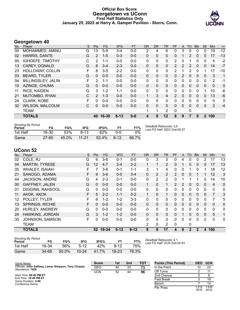## **Official Box Score Georgetown vs UConn First Half Statistics Only January 25, 2022 at Harry A. Gampel Pavilion - Storrs, Conn.**



# **Georgetown 40**

| No. | Plaver                  | S | <b>Pts</b>      | <b>FG</b> | 3FG      | <b>FT</b> | <b>OR</b> | <b>DR</b>    | <b>TR</b>    | PF             | A | TO           | <b>B</b> lk | Stl          | <b>Min</b>   | $+/-$ |
|-----|-------------------------|---|-----------------|-----------|----------|-----------|-----------|--------------|--------------|----------------|---|--------------|-------------|--------------|--------------|-------|
| 00  | MOHAMMED, AMINU         | G | 13 <sup>7</sup> | $5-9$     | $3-4$    | $0-0$     | 2         | 4            | 6            | 0              | 3 | 0            | 0           | 0            | 19           | $-12$ |
| 02  | HARRIS, DANTE           | G | $\overline{2}$  | $1 - 5$   | $0 - 3$  | $0 - 0$   | 0         | 0            | $\Omega$     | 0              |   | 2            | 0           | 0            | 17           | $-13$ |
| 05  | <b>IGHOEFE, TIMOTHY</b> | С | 2               | 1-1       | $0 - 0$  | $0-0$     | 0         | 0            | $\mathbf{0}$ | 2              | 0 |              | 0           | 0            | 4            | $-2$  |
| 13  | <b>CAREY, DONALD</b>    | G | 8               | $3 - 4$   | $2 - 3$  | $0 - 0$   | 0         | 0            | $\Omega$     | $\mathcal{P}$  | 2 | 2            | $\Omega$    | $\mathbf{0}$ | 14           | $-7$  |
| 23  | HOLLOWAY, COLLIN        | F | 8               | $3-5$     | $2 - 2$  | $0 - 0$   | 0         | $\mathbf{0}$ | $\mathbf{0}$ | 2              |   | 2            | 0           | 1            | 17           | $-10$ |
| 03  | <b>BEARD, TYLER</b>     | G | $\Omega$        | $0 - 0$   | $0 - 0$  | $0 - 0$   | 0         | 0            | $\Omega$     | $\Omega$       | 2 | $\Omega$     | $\Omega$    | 0            | 3            | 1     |
| 04  | BILLINGSLEY, JALIN      | F | 2               | $1 - 1$   | $0 - 0$  | $0-0$     | 0         | $\mathbf{0}$ | $\mathbf{0}$ | $\Omega$       | 0 | $\Omega$     | $\Omega$    | $\mathbf 0$  | 2            | -1    |
| 10  | AZINGE, CHUMA           | G | $\Omega$        | $0 - 0$   | $0 - 0$  | $0 - 0$   | 0         | $\mathbf{0}$ | $\mathbf{0}$ | $\Omega$       | 0 | $\mathbf{0}$ | $\Omega$    | 0            | $\mathbf{0}$ | 0     |
| 11  | <b>RICE, KAIDEN</b>     | G | 3               | $1 - 2$   | $1 - 1$  | $0-0$     | 0         | 0            | $\mathbf{0}$ | $\Omega$       | 0 | $\Omega$     | $\Omega$    | 1            | 10           | -6    |
| 21  | MUTOMBO, RYAN           | C | $\overline{2}$  | $1 - 3$   | $0 - 0$  | $0-0$     | 1         | 3            | 4            | $\overline{2}$ | 0 | $\Omega$     | $\Omega$    | 0            | 13           | $-6$  |
| 24  | <b>CLARK, KOBE</b>      | F | 0               | $0 - 0$   | $0 - 0$  | $0 - 0$   | 0         | $\Omega$     | $\Omega$     | $\Omega$       | 0 | $\Omega$     | 0           | 0            | $\mathbf{0}$ | 0     |
| 32  | <b>WILSON, MALCOLM</b>  | C | 0               | $0 - 0$   | $0-0$    | $0 - 0$   | $\Omega$  | $\Omega$     | $\Omega$     | $\Omega$       | 0 | $\Omega$     | 0           | $\mathbf{0}$ | 2            | $-4$  |
|     | <b>TEAM</b>             |   |                 |           |          |           | 1         | 1            | 2            | $\Omega$       |   | 0            |             |              |              |       |
|     | <b>TOTALS</b>           |   | 40              | $16 - 30$ | $8 - 13$ | $0 - 0$   | 4         | 8            | 12           | 8              | 9 | 7            | 0           | $\mathbf{2}$ | 100          |       |

| <b>Shooting By Period</b><br>Period | FG        | FG%   | 3FG       | 3FG%     |          | FT%   | Deadball Rebounds: 3,0<br>Last FG Half: GEO 2nd-00:37 |
|-------------------------------------|-----------|-------|-----------|----------|----------|-------|-------------------------------------------------------|
| 1st Half                            | $16 - 30$ | 53%   | $8-13$    | 62%      | ი-ი      | $0\%$ |                                                       |
| Game                                | $27 - 60$ | 45.0% | $11 - 21$ | $52.4\%$ | $8 - 12$ | 66.7% |                                                       |

# **UConn 52**

| No.             | Player                 | S  | <b>Pts</b> | <b>FG</b> | 3FG      | <b>FT</b> | <b>OR</b>    | <b>DR</b> | TR             | PF             | A           | TO           | <b>Blk</b>   | Stl          | Min            | $+/-$        |
|-----------------|------------------------|----|------------|-----------|----------|-----------|--------------|-----------|----------------|----------------|-------------|--------------|--------------|--------------|----------------|--------------|
| 02              | COLE, RJ               | G  | 6          | $3-6$     | $0 - 1$  | $0 - 0$   | 0            | 3         | 3              | 0              | 4           | 0            | 0            | 2            | 17             | 13           |
| 04              | <b>MARTIN, TYRESE</b>  | G  | 12         | $4 - 7$   | $2 - 4$  | $2 - 2$   |              |           | $\overline{2}$ | 0              |             | 0            | 0            | 0            | 17             | 13           |
| 05              | <b>WHALEY, ISAIAH</b>  | F  |            | $3-6$     | $0 - 1$  | $1 - 1$   | 3            |           | 4              | 0              | 0           |              | 0            |              | 18             | 12           |
| 21              | SANOGO, ADAMA          | F. | 9          | $3-6$     | $0 - 0$  | $3 - 4$   | 0            | 2         | 2              | 2              | $\mathbf 0$ | 0            |              |              | 12             | 3            |
| 44              | <b>JACKSON, ANDRE</b>  | G  | 4          | $2 - 3$   | $0 - 1$  | $0 - 0$   | 0            | 2         | 2              | 0              | 1           |              |              | $\Omega$     | 14             | 10           |
| 00 <sup>°</sup> | <b>GAFFNEY, JALEN</b>  | G  | 0          | $0 - 0$   | $0 - 0$  | $0 - 0$   | 1            | $\Omega$  | 1              | $\overline{2}$ | 2           | 0            | 0            | 0            | $\overline{4}$ | $\mathbf 0$  |
| 01              | DIGGINS, RAHSOOL       | G  | 0          | $0 - 0$   | $0 - 0$  | $0 - 0$   | 0            | 0         | $\mathbf 0$    | $\Omega$       | 0           | 0            | $\mathbf{0}$ | $\Omega$     | $\mathbf{0}$   | $\mathbf{0}$ |
| 11              | AKOK, AKOK             | F  | 5          | $2 - 2$   | $1 - 1$  | $0 - 2$   | 1            | 0         | 1              | 0              | $\Omega$    | 0            | $\Omega$     | $\Omega$     | $\overline{7}$ | 3            |
| 12              | POLLEY, TYLER          | F  | 6          | $1 - 2$   | $1 - 2$  | $3 - 3$   | 0            | 0         | 0              | 0              | 0           | 0            | $\mathbf{0}$ | 0            | 7              | 5            |
| 13              | <b>SPRINGS, RICHIE</b> | F  | 0          | $0 - 0$   | $0 - 0$  | $0 - 0$   | $\mathbf{0}$ | $\Omega$  | $\mathbf{0}$   | 0              | $\Omega$    | 0            | $\mathbf{0}$ | $\Omega$     | $\mathbf{0}$   | 0            |
| 20              | <b>HURLEY, ANDREW</b>  | G  | 0          | $0 - 0$   | $0 - 0$  | $0 - 0$   | 0            | 0         | $\mathbf{0}$   | 0              | 0           | 0            | 0            | 0            | $\mathbf{0}$   | 0            |
| 24              | HAWKINS, JORDAN        | G  | 3          | $1 - 2$   | $1 - 2$  | $0 - 0$   | $\Omega$     | $\Omega$  | $\mathbf{0}$   | 0              |             | 0            | $\mathbf{0}$ | $\mathbf{0}$ | 5              | 1            |
| 35              | JOHNSON, SAMSON        | F  | 0          | $0-0$     | $0-0$    | $0 - 0$   | 0            | 0         | $\Omega$       | 0              | 0           | 0            | $\Omega$     | 0            | 0              | 0            |
|                 | <b>TEAM</b>            |    |            |           |          |           | 2            | 0         | 2              | $\Omega$       |             | 0            |              |              |                |              |
|                 | <b>TOTALS</b>          |    | 52         | 19-34     | $5 - 12$ | $9 - 12$  | 8            | 9         | 17             | 4              | 9           | $\mathbf{2}$ | $\mathbf{2}$ | 4            | 100            |              |
|                 |                        |    |            |           |          |           |              |           |                |                |             |              |              |              |                |              |

| <b>Shooting By Period</b> |           |       |           |       |          |       |
|---------------------------|-----------|-------|-----------|-------|----------|-------|
| Period                    | FG        | FG%   | 3FG       | 3FG%  | FТ       | FT%   |
| 1st Half                  | 19-34     | 56%   | $5-12$    | 42%   | $9 - 12$ | 75%   |
| Game                      | $34 - 68$ | 50.0% | $10 - 24$ | 41.7% | 18-23    | 78.3% |

*Deadball Rebounds:* 4,1 *Last FG Half:* UCN 2nd-02:43

Game Notes: Officials: **John Gaffney, Lamar Simpson, Tony Chiazza** Attendance: **7429** Start Time: **08:40 PM ET** End Time: **10:46 PM ET** Game Duration: **2:06** Conference Game; **Score 1st 2nd TOT** GEO 40 33 **73** UCN 52 44 **96 Points (This Period) GEO UCN** In the Paint 12 22<br>
Off Turns 2 11 Off Turns 2 11<br>
2nd Chance 5 9 2nd Chance Fast Break 3 18 Bench 7 14 Per Poss 16/33 1.576 24/33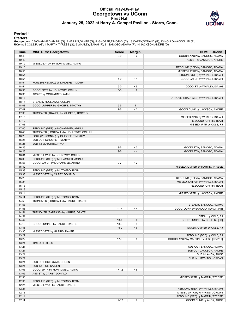# **Official Play-By-Play Georgetown vs UConn First Half January 25, 2022 at Harry A. Gampel Pavilion - Storrs, Conn.**



## **Period 1**

#### **Starters:**

| Time           | <b>VISITORS: Georgetown</b>             | <b>Score</b> | <b>Margin</b>  | <b>HOME: UConn</b>                                                |
|----------------|-----------------------------------------|--------------|----------------|-------------------------------------------------------------------|
| 19:40          |                                         | $2 - 0$      | H <sub>2</sub> | GOOD! LAYUP by SANOGO, ADAMA                                      |
| 19:40          |                                         |              |                | ASSIST by JACKSON, ANDRE                                          |
| 19:19          | MISSED LAYUP by MOHAMMED, AMINU         |              |                |                                                                   |
| 19:15          |                                         |              |                | REBOUND (DEF) by SANOGO, ADAMA                                    |
| 18:55          |                                         |              |                | MISSED LAYUP by SANOGO, ADAMA                                     |
| 18:54          |                                         |              |                | REBOUND (OFF) by WHALEY, ISAIAH                                   |
| 18:54          |                                         | $4 - 0$      | H4             | GOOD! LAYUP by WHALEY, ISAIAH                                     |
| 18:54          | FOUL (PERSONAL) by IGHOEFE, TIMOTHY     |              |                |                                                                   |
| 18:54          |                                         | $5-0$        | H <sub>5</sub> | GOOD! FT by WHALEY, ISAIAH                                        |
| 18:35          | GOOD! 3PTR by HOLLOWAY, COLLIN          | $5 - 3$      | H <sub>2</sub> |                                                                   |
| 18:35          | ASSIST by MOHAMMED, AMINU               |              |                |                                                                   |
| 18:17          |                                         |              |                | TURNOVER (BADPASS) by WHALEY, ISAIAH                              |
| 18:17          | STEAL by HOLLOWAY, COLLIN               |              |                |                                                                   |
| 18:08          | GOOD! JUMPER by IGHOEFE, TIMOTHY        | $5-5$        | T              |                                                                   |
| 17:47          |                                         | $7 - 5$      | H <sub>2</sub> | GOOD! DUNK by JACKSON, ANDRE                                      |
| 17:30          | TURNOVER (TRAVEL) by IGHOEFE, TIMOTHY   |              |                |                                                                   |
| 17:15          |                                         |              |                | MISSED 3PTR by WHALEY, ISAIAH                                     |
| 17:12          |                                         |              |                | REBOUND (OFF) by TEAM                                             |
| 17:08          |                                         |              |                | MISSED 3PTR by COLE, RJ                                           |
| 17:00          | REBOUND (DEF) by MOHAMMED, AMINU        |              |                |                                                                   |
| 16:40          | TURNOVER (LOSTBALL) by HOLLOWAY, COLLIN |              |                |                                                                   |
| 16:26          | FOUL (PERSONAL) by IGHOEFE, TIMOTHY     |              |                |                                                                   |
| 16:26          | SUB OUT: IGHOEFE, TIMOTHY               |              |                |                                                                   |
| 16:26          | SUB IN: MUTOMBO, RYAN                   |              |                |                                                                   |
| 16:26          |                                         | $8 - 5$      | $H_3$          | GOOD! FT by SANOGO, ADAMA                                         |
| 16:26          |                                         | $9-5$        | H4             | GOOD! FT by SANOGO, ADAMA                                         |
| 16:01          | MISSED LAYUP by HOLLOWAY, COLLIN        |              |                |                                                                   |
| 16:00          | REBOUND (OFF) by MOHAMMED, AMINU        |              |                |                                                                   |
| 15:58          | GOOD! LAYUP by MOHAMMED, AMINU          | $9 - 7$      | H <sub>2</sub> |                                                                   |
| 15:42<br>15:38 |                                         |              |                | MISSED JUMPER by MARTIN, TYRESE                                   |
|                | REBOUND (DEF) by MUTOMBO, RYAN          |              |                |                                                                   |
| 15:33<br>15:29 | MISSED 3PTR by CAREY, DONALD            |              |                |                                                                   |
| 15:24          |                                         |              |                | REBOUND (DEF) by SANOGO, ADAMA<br>MISSED JUMPER by WHALEY, ISAIAH |
| 15:18          |                                         |              |                | REBOUND (OFF) by TEAM                                             |
| 15:18          |                                         |              |                |                                                                   |
| 15:14          |                                         |              |                | MISSED 3PTR by JACKSON, ANDRE                                     |
| 15:11          | REBOUND (DEF) by MUTOMBO, RYAN          |              |                |                                                                   |
| 14:58          | TURNOVER (LOSTBALL) by HARRIS, DANTE    |              |                |                                                                   |
| 14:58          |                                         |              |                | STEAL by SANOGO, ADAMA                                            |
| 14:55          |                                         | $11 - 7$     | H4             | GOOD! DUNK by SANOGO, ADAMA [FB]                                  |
| 14:51          | TURNOVER (BADPASS) by HARRIS, DANTE     |              |                |                                                                   |
| 14:51          |                                         |              |                | STEAL by COLE, RJ                                                 |
| 14:47          |                                         | $13 - 7$     | H <sub>6</sub> | GOOD! JUMPER by COLE, RJ [FB]                                     |
| 14:16          | GOOD! JUMPER by HARRIS, DANTE           | $13-9$       | H 4            |                                                                   |
| 13:45          |                                         | $15-9$       | H <sub>6</sub> | GOOD! JUMPER by COLE, RJ                                          |
| 13:30          | MISSED 3PTR by HARRIS, DANTE            |              |                |                                                                   |
| 13:27          |                                         |              |                | REBOUND (DEF) by COLE, RJ                                         |
| 13:22          |                                         | $17-9$       | H 8            | GOOD! LAYUP by MARTIN, TYRESE [FB/PNT]                            |
| 13:21          | TIMEOUT 30SEC                           |              |                |                                                                   |
| 13:21          |                                         |              |                | SUB OUT: SANOGO, ADAMA                                            |
| 13:21          |                                         |              |                | SUB OUT: JACKSON, ANDRE                                           |
| 13:21          |                                         |              |                | SUB IN: AKOK, AKOK                                                |
| 13:21          |                                         |              |                | SUB IN: HAWKINS, JORDAN                                           |
| 13:21          | SUB OUT: HOLLOWAY, COLLIN               |              |                |                                                                   |
| 13:21          | SUB IN: RICE, KAIDEN                    |              |                |                                                                   |
| 13:06          | GOOD! 3PTR by MOHAMMED, AMINU           | $17 - 12$    | H <sub>5</sub> |                                                                   |
| 13:06          | ASSIST by CAREY, DONALD                 |              |                |                                                                   |
| 12:38          |                                         |              |                | MISSED 3PTR by MARTIN, TYRESE                                     |
| 12:35          | REBOUND (DEF) by MUTOMBO, RYAN          |              |                |                                                                   |
| 12:24          | MISSED LAYUP by HARRIS, DANTE           |              |                |                                                                   |
| 12:21          |                                         |              |                | REBOUND (DEF) by WHALEY, ISAIAH                                   |
| 12:18          |                                         |              |                | MISSED 3PTR by HAWKINS, JORDAN                                    |
| 12:14          |                                         |              |                | REBOUND (OFF) by MARTIN, TYRESE                                   |
| 12:11          |                                         | 19-12        | H 7            | GOOD! DUNK by AKOK, AKOK                                          |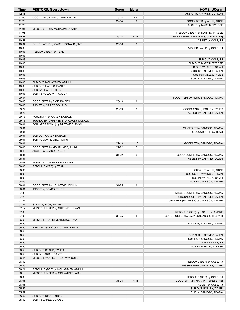| <b>Time</b>    | <b>VISITORS: Georgetown</b>           | <b>Score</b> | <b>Margin</b>  | <b>HOME: UConn</b>                                                    |
|----------------|---------------------------------------|--------------|----------------|-----------------------------------------------------------------------|
| 12:11          |                                       |              |                | ASSIST by HAWKINS, JORDAN                                             |
| 11:50          | GOOD! LAYUP by MUTOMBO, RYAN          | 19-14        | H <sub>5</sub> |                                                                       |
| 11:28          |                                       | $22 - 14$    | H 8            | GOOD! 3PTR by AKOK, AKOK                                              |
| 11:28          |                                       |              |                | ASSIST by MARTIN, TYRESE                                              |
| 11:04          | MISSED 3PTR by MOHAMMED, AMINU        |              |                |                                                                       |
| 11:01<br>10:57 |                                       | $25 - 14$    | H 11           | REBOUND (DEF) by MARTIN, TYRESE<br>GOOD! 3PTR by HAWKINS, JORDAN [FB] |
| 10:57          |                                       |              |                | ASSIST by COLE, RJ                                                    |
| 10:34          | GOOD! LAYUP by CAREY, DONALD [PNT]    | $25 - 16$    | H9             |                                                                       |
| 10:09          |                                       |              |                | MISSED LAYUP by COLE, RJ                                              |
| 10:08          | REBOUND (DEF) by TEAM                 |              |                |                                                                       |
| 10:08          |                                       |              |                |                                                                       |
| 10:08          |                                       |              |                | SUB OUT: COLE, RJ                                                     |
| 10:08          |                                       |              |                | SUB OUT: MARTIN, TYRESE                                               |
| 10:08          |                                       |              |                | SUB OUT: WHALEY, ISAIAH                                               |
| 10:08          |                                       |              |                | SUB IN: GAFFNEY, JALEN                                                |
| 10:08<br>10:08 |                                       |              |                | SUB IN: POLLEY, TYLER<br>SUB IN: SANOGO, ADAMA                        |
| 10:08          | SUB OUT: MOHAMMED, AMINU              |              |                |                                                                       |
| 10:08          | SUB OUT: HARRIS, DANTE                |              |                |                                                                       |
| 10:08          | SUB IN: BEARD, TYLER                  |              |                |                                                                       |
| 10:08          | SUB IN: HOLLOWAY, COLLIN              |              |                |                                                                       |
| 09:57          |                                       |              |                | FOUL (PERSONAL) by SANOGO, ADAMA                                      |
| 09:48          | GOOD! 3PTR by RICE, KAIDEN            | $25-19$      | H <sub>6</sub> |                                                                       |
| 09:48          | ASSIST by CAREY, DONALD               |              |                |                                                                       |
| 09:27          |                                       | 28-19        | H 9            | GOOD! 3PTR by POLLEY, TYLER                                           |
| 09:27          |                                       |              |                | ASSIST by GAFFNEY, JALEN                                              |
| 09:13          | FOUL (OFF) by CAREY, DONALD           |              |                |                                                                       |
| 09:13          | TURNOVER (OFFENSIVE) by CAREY, DONALD |              |                |                                                                       |
| 09:01<br>09:01 | FOUL (PERSONAL) by MUTOMBO, RYAN      |              |                | MISSED FT by SANOGO, ADAMA                                            |
| 09:01          |                                       |              |                | REBOUND (OFF) by TEAM                                                 |
| 09:01          | SUB OUT: CAREY, DONALD                |              |                |                                                                       |
| 09:01          | SUB IN: MOHAMMED, AMINU               |              |                |                                                                       |
| 09:01          |                                       | 29-19        | H 10           | GOOD! FT by SANOGO, ADAMA                                             |
| 08:45          | GOOD! 3PTR by MOHAMMED, AMINU         | 29-22        | H 7            |                                                                       |
| 08:45          | ASSIST by BEARD, TYLER                |              |                |                                                                       |
| 08:31          |                                       | $31 - 22$    | H9             | GOOD! JUMPER by SANOGO, ADAMA                                         |
| 08:31          |                                       |              |                | ASSIST by GAFFNEY, JALEN                                              |
| 08:07          | MISSED LAYUP by RICE, KAIDEN          |              |                |                                                                       |
| 08:05<br>08:05 | REBOUND (OFF) by TEAM                 |              |                |                                                                       |
| 08:05          |                                       |              |                | SUB OUT: AKOK, AKOK<br>SUB OUT: HAWKINS, JORDAN                       |
| 08:05          |                                       |              |                | SUB IN: WHALEY, ISAIAH                                                |
| 08:05          |                                       |              |                | SUB IN: JACKSON, ANDRE                                                |
| 08:01          | GOOD! 3PTR by HOLLOWAY, COLLIN        | 31-25        | H <sub>6</sub> |                                                                       |
| 08:01          | ASSIST by BEARD, TYLER                |              |                |                                                                       |
| 07:30          |                                       |              |                | MISSED JUMPER by SANOGO, ADAMA                                        |
| 07:26          |                                       |              |                | REBOUND (OFF) by GAFFNEY, JALEN                                       |
| 07:21          |                                       |              |                | TURNOVER (BADPASS) by JACKSON, ANDRE                                  |
| 07:21          | STEAL by RICE, KAIDEN                 |              |                |                                                                       |
| 07:12<br>07:09 | MISSED JUMPER by MUTOMBO, RYAN        |              |                | REBOUND (DEF) by JACKSON, ANDRE                                       |
| 07:06          |                                       | 33-25        | H 8            | GOOD! JUMPER by JACKSON, ANDRE [FB/PNT]                               |
| 06:50          | MISSED LAYUP by MUTOMBO, RYAN         |              |                |                                                                       |
| 06:50          |                                       |              |                | BLOCK by SANOGO, ADAMA                                                |
| 06:50          | REBOUND (OFF) by MUTOMBO, RYAN        |              |                |                                                                       |
| 06:50          |                                       |              |                |                                                                       |
| 06:50          |                                       |              |                | SUB OUT: GAFFNEY, JALEN                                               |
| 06:50          |                                       |              |                | SUB OUT: SANOGO, ADAMA                                                |
| 06:50          |                                       |              |                | SUB IN: COLE, RJ                                                      |
| 06:50          |                                       |              |                | SUB IN: MARTIN, TYRESE                                                |
| 06:50          | SUB OUT: BEARD, TYLER                 |              |                |                                                                       |
| 06:50<br>06:44 | SUB IN: HARRIS, DANTE                 |              |                |                                                                       |
| 06:42          | MISSED LAYUP by HOLLOWAY, COLLIN      |              |                | REBOUND (DEF) by COLE, RJ                                             |
| 06:25          |                                       |              |                | MISSED 3PTR by POLLEY, TYLER                                          |
| 06:21          | REBOUND (DEF) by MOHAMMED, AMINU      |              |                |                                                                       |
| 06:13          | MISSED JUMPER by MOHAMMED, AMINU      |              |                |                                                                       |
| 06:09          |                                       |              |                | REBOUND (DEF) by COLE, RJ                                             |
| 06:05          |                                       | 36-25        | H 11           | GOOD! 3PTR by MARTIN, TYRESE [FB]                                     |
| 06:05          |                                       |              |                | ASSIST by COLE, RJ                                                    |
| 05:52          |                                       |              |                | SUB OUT: POLLEY, TYLER                                                |
| 05:52          |                                       |              |                | SUB IN: SANOGO, ADAMA                                                 |
| 05:52          | SUB OUT: RICE, KAIDEN                 |              |                |                                                                       |
| 05:52          | SUB IN: CAREY, DONALD                 |              |                |                                                                       |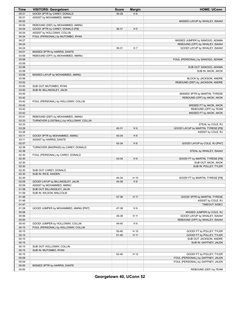| Time  | <b>VISITORS: Georgetown</b>             | <b>Score</b> | <b>Margin</b>  | <b>HOME: UConn</b>                 |
|-------|-----------------------------------------|--------------|----------------|------------------------------------|
| 05:31 | GOOD! 3PTR by CAREY, DONALD             | 36-28        | H 8            |                                    |
| 05:31 | ASSIST by MOHAMMED, AMINU               |              |                |                                    |
| 05:02 |                                         |              |                | MISSED LAYUP by WHALEY, ISAIAH     |
| 05:00 | REBOUND (DEF) by MOHAMMED, AMINU        |              |                |                                    |
| 04:54 | GOOD! 3PTR by CAREY, DONALD [FB]        | 36-31        | H <sub>5</sub> |                                    |
| 04:54 | ASSIST by HOLLOWAY, COLLIN              |              |                |                                    |
| 04:34 | FOUL (PERSONAL) by MUTOMBO, RYAN        |              |                |                                    |
| 04:27 |                                         |              |                | MISSED JUMPER by SANOGO, ADAMA     |
| 04:24 |                                         |              |                | REBOUND (OFF) by WHALEY, ISAIAH    |
| 04:24 |                                         | 38-31        | H <sub>7</sub> | GOOD! LAYUP by WHALEY, ISAIAH      |
| 04:01 | MISSED 3PTR by HARRIS, DANTE            |              |                |                                    |
| 03:58 | REBOUND (OFF) by MOHAMMED, AMINU        |              |                |                                    |
| 03:58 |                                         |              |                | FOUL (PERSONAL) by SANOGO, ADAMA   |
| 03:58 |                                         |              |                |                                    |
| 03:58 |                                         |              |                | SUB OUT: SANOGO, ADAMA             |
| 03:58 |                                         |              |                | SUB IN: AKOK, AKOK                 |
| 03:56 | MISSED LAYUP by MOHAMMED, AMINU         |              |                |                                    |
| 03:56 |                                         |              |                | BLOCK by JACKSON, ANDRE            |
| 03:52 |                                         |              |                | REBOUND (DEF) by JACKSON, ANDRE    |
| 03:50 | SUB OUT: MUTOMBO, RYAN                  |              |                |                                    |
| 03:50 | SUB IN: BILLINGSLEY, JALIN              |              |                |                                    |
| 03:45 |                                         |              |                | MISSED 3PTR by MARTIN, TYRESE      |
| 03:42 |                                         |              |                | REBOUND (OFF) by AKOK, AKOK        |
| 03:42 |                                         |              |                |                                    |
| 03:42 | FOUL (PERSONAL) by HOLLOWAY, COLLIN     |              |                |                                    |
|       |                                         |              |                | MISSED FT by AKOK, AKOK            |
| 03:42 |                                         |              |                | REBOUND (OFF) by TEAM              |
| 03:42 |                                         |              |                | MISSED FT by AKOK, AKOK            |
| 03:41 | REBOUND (DEF) by MOHAMMED, AMINU        |              |                |                                    |
| 03:33 | TURNOVER (LOSTBALL) by HOLLOWAY, COLLIN |              |                |                                    |
| 03:33 |                                         |              |                | STEAL by COLE, RJ                  |
| 03:28 |                                         | 40-31        | H9             | GOOD! LAYUP by MARTIN, TYRESE [FB] |
| 03:28 |                                         |              |                | ASSIST by COLE, RJ                 |
| 03:11 | GOOD! 3PTR by MOHAMMED, AMINU           | 40-34        | H <sub>6</sub> |                                    |
| 03:11 | ASSIST by HARRIS, DANTE                 |              |                |                                    |
| 02:57 |                                         | 42-34        | H <sub>8</sub> | GOOD! LAYUP by COLE, RJ [PNT]      |
| 02:38 | TURNOVER (BADPASS) by CAREY, DONALD     |              |                |                                    |
| 02:38 |                                         |              |                | STEAL by WHALEY, ISAIAH            |
| 02:30 | FOUL (PERSONAL) by CAREY, DONALD        |              |                |                                    |
| 02:30 |                                         | 43-34        | H9             | GOOD! FT by MARTIN, TYRESE [FB]    |
| 02:30 |                                         |              |                | SUB OUT: AKOK, AKOK                |
| 02:30 |                                         |              |                | SUB IN: POLLEY, TYLER              |
| 02:30 | SUB OUT: CAREY, DONALD                  |              |                |                                    |
| 02:30 | SUB IN: RICE, KAIDEN                    |              |                |                                    |
| 02:30 |                                         | 44-34        | H 10           | GOOD! FT by MARTIN, TYRESE [FB]    |
| 02:09 | GOOD! LAYUP by BILLINGSLEY, JALIN       | 44-36        | H 8            |                                    |
| 02:09 | ASSIST by MOHAMMED, AMINU               |              |                |                                    |
| 01:58 | SUB OUT: BILLINGSLEY, JALIN             |              |                |                                    |
| 01:58 | SUB IN: WILSON, MALCOLM                 |              |                |                                    |
| 01:48 |                                         | 47-36        | H 11           | GOOD! 3PTR by MARTIN, TYRESE       |
| 01:48 |                                         |              |                | ASSIST by COLE, RJ                 |
| 01:47 |                                         |              |                | TIMEOUT 30SEC                      |
| 01:28 | GOOD! JUMPER by MOHAMMED, AMINU [PNT]   | 47-38        | H9             |                                    |
| 00:58 |                                         |              |                | MISSED JUMPER by COLE, RJ          |
| 00:56 |                                         | 49-38        | H 11           | GOOD! LAYUP by WHALEY, ISAIAH      |
| 00:55 |                                         |              |                | REBOUND (OFF) by WHALEY, ISAIAH    |
| 00:43 | GOOD! JUMPER by HOLLOWAY, COLLIN        | 49-40        | H9             |                                    |
| 00:15 | FOUL (PERSONAL) by HOLLOWAY, COLLIN     |              |                |                                    |
| 00:15 |                                         | 50-40        | H 10           | GOOD! FT by POLLEY, TYLER          |
| 00:15 |                                         | $51 - 40$    | H 11           | GOOD! FT by POLLEY, TYLER          |
| 00:15 |                                         |              |                | SUB OUT: JACKSON, ANDRE            |
| 00:15 |                                         |              |                | SUB IN: GAFFNEY, JALEN             |
| 00:15 | SUB OUT: HOLLOWAY, COLLIN               |              |                |                                    |
| 00:15 | SUB IN: MUTOMBO, RYAN                   |              |                |                                    |
| 00:15 |                                         | 52-40        | H 12           | GOOD! FT by POLLEY, TYLER          |
| 00:09 |                                         |              |                | FOUL (PERSONAL) by GAFFNEY, JALEN  |
| 00:04 |                                         |              |                | FOUL (PERSONAL) by GAFFNEY, JALEN  |
| 00:00 | MISSED 3PTR by HARRIS, DANTE            |              |                |                                    |
| 00:00 |                                         |              |                | REBOUND (DEF) by TEAM              |
|       |                                         |              |                |                                    |

**Georgetown 40, UConn 52**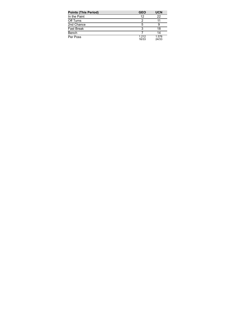| <b>Points (This Period)</b> | <b>GEO</b>     | <b>UCN</b>     |
|-----------------------------|----------------|----------------|
| In the Paint                | 12             | 22             |
| Off Turns                   | 2              |                |
| 2nd Chance                  | 5              |                |
| <b>Fast Break</b>           | 3              | 18             |
| Bench                       |                | 14             |
| Per Poss                    | 1.212<br>16/33 | 1.576<br>24/33 |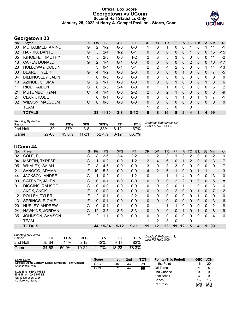# **Official Box Score Georgetown vs UConn Second Half Statistics Only January 25, 2022 at Harry A. Gampel Pavilion - Storrs, Conn.**



# **Georgetown 33**

| No. | Player                    | S | <b>Pts</b>     | FG        | 3FG     | <b>FT</b> | 0R             | <b>DR</b>    | <b>TR</b>      | <b>PF</b> | A            | TO           | <b>BIK</b> | <b>Stl</b>   | Min         | $+/-$ |
|-----|---------------------------|---|----------------|-----------|---------|-----------|----------------|--------------|----------------|-----------|--------------|--------------|------------|--------------|-------------|-------|
| 00  | MOHAMMED, AMINU           | G | 2              | $1 - 2$   | $0 - 0$ | $0-0$     |                | $\Omega$     |                | $\Omega$  | $\Omega$     |              | 0          |              | 11          | $-1$  |
| 02  | HARRIS, DANTE             | G | 5              | $2 - 4$   | $1 - 2$ | $0 - 1$   | $\Omega$       | $\mathbf{0}$ | 0              | 0         | $\mathbf{0}$ |              | 0          | 0            | 15          | $-15$ |
| 05  | <b>IGHOEFE, TIMOTHY</b>   | С | 5              | $2 - 3$   | $0 - 0$ | $1 - 2$   | 2              | 3            | 5              | 3         | $\Omega$     | 0            | 0          | $\Omega$     | 11          | $-2$  |
| 13  | <b>CAREY, DONALD</b>      | G | 2              | $1 - 4$   | $0 - 1$ | $0 - 0$   | $\Omega$       | $\mathbf{0}$ | $\Omega$       | $\Omega$  | $\mathbf{0}$ | 2            | 0          | $\Omega$     | 16          | $-17$ |
| 23  | HOLLOWAY, COLLIN          | F | 3              | $0 - 4$   | $0 - 1$ | $3 - 4$   | 2              | 2            | 4              | 2         | $\Omega$     | 0            | 0          |              | 14          | $-13$ |
| 03  | <b>BEARD, TYLER</b>       | G | 4              | $1 - 2$   | $0 - 0$ | $2 - 3$   | $\mathbf{0}$   | $\Omega$     | $\Omega$       | $\Omega$  |              | 0            | 0          | $\Omega$     |             | $-5$  |
| 04  | <b>BILLINGSLEY, JALIN</b> | F | $\Omega$       | $0 - 0$   | $0 - 0$ | $0 - 0$   | $\mathbf{0}$   | $\Omega$     | $\mathbf{0}$   | $\Omega$  | $\Omega$     | 0            | 0          | $\Omega$     | $\mathbf 0$ | 0     |
| 10  | AZINGE, CHUMA             | G | $\overline{2}$ | $1 - 1$   | $0 - 0$ | $0 - 0$   | $\Omega$       | $\Omega$     | $\Omega$       |           | $\Omega$     | $\mathbf{0}$ | $\Omega$   |              | 3           | 6     |
| 11  | <b>RICE, KAIDEN</b>       | G | 6              | $2 - 5$   | $2 - 4$ | $0 - 0$   | $\mathbf{0}$   |              | 1              | 0         | $\Omega$     | 0            | 0          | 0            | 6           | 2     |
| 21  | MUTOMBO, RYAN             | C | 4              | $1 - 4$   | $0 - 0$ | $2 - 2$   | $\overline{2}$ | $\Omega$     | $\overline{2}$ | 1         | $\Omega$     | $\Omega$     | $\Omega$   | $\mathbf{0}$ | 8           | $-9$  |
| 24  | <b>CLARK, KOBE</b>        | F | $\Omega$       | $0 - 1$   | $0 - 0$ | $0 - 0$   | $\Omega$       | 0            | $\Omega$       |           |              | $\Omega$     |            |              | 7           | -1    |
| 32  | <b>WILSON, MALCOLM</b>    | C | 0              | $0 - 0$   | $0-0$   | $0 - 0$   | $\mathbf{0}$   | $\mathbf{0}$ | 0              | $\Omega$  | $\Omega$     | $\Omega$     | 0          | 0            | $\Omega$    | 0     |
|     | TEAM                      |   |                |           |         |           |                | 2            | 3              | 0         |              | 0            |            |              |             |       |
|     | <b>TOTALS</b>             |   | 33             | $11 - 30$ | $3 - 8$ | $8 - 12$  | 8              | 8            | 16             | 8         | 2            | 4            |            | 4            | 99          |       |

| <b>Shooting By Period</b><br>Period | FG        | FG%   | 3FG       | 3FG%  | FT.      | FT%   | Deadball Rebounds: 3,0<br>Last FG Half: GEO - |
|-------------------------------------|-----------|-------|-----------|-------|----------|-------|-----------------------------------------------|
| 2nd Half                            | $11 - 30$ | 37%   | $3 - 8$   | 38%   | $8-12$   | 67%   |                                               |
| Game                                | $27 - 60$ | 45.0% | $11 - 21$ | 52.4% | $8 - 12$ | 66.7% |                                               |

# **UConn 44**

| No. | Player                 | S | <b>Pts</b>     | FG.     | 3FG     | <b>FT</b> | <b>OR</b>      | DR.          | <b>TR</b> | <b>PF</b>      | A            | TO           | <b>Blk</b> | Stl          | Min | $+/-$ |
|-----|------------------------|---|----------------|---------|---------|-----------|----------------|--------------|-----------|----------------|--------------|--------------|------------|--------------|-----|-------|
| 02  | COLE, RJ               | G | 8              | $2-6$   | $2 - 4$ | $2 - 2$   | 1              | 2            | 3         |                | 3            | 2            | 0          | 0            | 12  | 9     |
| 04  | <b>MARTIN, TYRESE</b>  | G |                | $0 - 2$ | $0-0$   | $1 - 2$   | $\overline{2}$ | 4            | 6         | 0              |              | 2            | 0          | $\mathbf{0}$ | 13  | 17    |
| 05  | <b>WHALEY, ISAIAH</b>  | F | 8              | $4-6$   | $0 - 0$ | $0 - 0$   | 3              | 0            | 3         | 3              | $\mathbf 0$  | 0            | 0          | 0            | 9   | 7     |
| 21  | SANOGO, ADAMA          | F | 10             | $5 - 8$ | $0 - 0$ | $0 - 0$   | 4              | 2            | 6         |                | $\Omega$     | 0            |            |              | 11  | 13    |
| 44  | <b>JACKSON, ANDRE</b>  | G |                | $0 - 2$ | $0 - 1$ | $1 - 2$   | $\Omega$       |              | 1         |                | 4            | 0            | 0          | 0            | 13  | 10    |
| 00  | <b>GAFFNEY, JALEN</b>  | G | 0              | $0 - 1$ | $0 - 0$ | $0-0$     | $\mathbf{0}$   | $\Omega$     | 0         | $\overline{2}$ | 2            | $\Omega$     | 0          | $\mathbf{0}$ | 5   | 8     |
| 01  | DIGGINS, RAHSOOL       | G | 0              | $0 - 0$ | $0 - 0$ | $0 - 0$   | $\mathbf{0}$   | $\mathbf{0}$ | 0         | 0              |              |              | 0          | $\mathbf 0$  | 3   | -6    |
| 11  | AKOK, AKOK             | F | $\Omega$       | $0 - 0$ | $0 - 0$ | $0 - 0$   | $\mathbf{0}$   | $\Omega$     | 0         | $\overline{2}$ | $\Omega$     | $\Omega$     | 1          | $\mathbf{0}$ | 7   | $-2$  |
| 12  | POLLEY, TYLER          | F | $\overline{2}$ | $0 - 1$ | $0 - 1$ | $2 - 2$   | 0              | 0            | 0         | 0              | $\mathbf 0$  | 0            |            | 0            | 10  | 10    |
| 13  | <b>SPRINGS, RICHIE</b> | F | 0              | $0 - 1$ | $0 - 0$ | $0-0$     | $\mathbf{0}$   | $\Omega$     | 0         | 0              | $\mathbf{0}$ | $\Omega$     | 0          | $\mathbf{0}$ | 3   | $-6$  |
| 20  | HURLEY, ANDREW         | G | 0              | $0 - 1$ | $0 - 1$ | $0-0$     | 0              | 1            | 1         | 1              | $\Omega$     | 0            | 0          | 0            | 2   | -8    |
| 24  | HAWKINS, JORDAN        | G | 12             | $3 - 5$ | $3-5$   | $3 - 3$   | $\mathbf{0}$   | 0            | 0         | $\Omega$       |              | 0            | 1          | $\Omega$     | 8   | 9     |
| 35  | JOHNSON, SAMSON        | F | 2              | $1 - 1$ | $0-0$   | $0-0$     | $\Omega$       | 0            | 0         | 0              | $\Omega$     | $\mathbf{0}$ | 0          | 0            | 4   | -6    |
|     | <b>TEAM</b>            |   |                |         |         |           |                | 2            | 3         | 0              |              | 0            |            |              |     |       |
|     | <b>TOTALS</b>          |   | 44             | 15-34   | $5-12$  | $9 - 11$  | 11             | 12           | 23        | 11             | 12           | 5            | 4          |              | 99  |       |
|     |                        |   |                |         |         |           |                |              |           |                |              |              |            |              |     |       |

| <b>Shooting By Period</b><br>Period | FG    | FG%   | 3FG       | 3FG%  | FТ        | FT%   |
|-------------------------------------|-------|-------|-----------|-------|-----------|-------|
| 2nd Half                            | 15-34 | 44%   | $5-12$    | 42%   | $9 - 11$  | 82%   |
| Game                                | 34-68 | 50.0% | $10 - 24$ | 41.7% | $18 - 23$ | 78.3% |

*Deadball Rebounds:* 4,1 *Last FG Half:* UCN -

| Game Notes:                                                              | <b>Score</b> | 1st | 2 <sub>nd</sub> | <b>TOT</b> | <b>Points (This Period)</b> | <b>GEO</b>     | <b>UCN</b>     |
|--------------------------------------------------------------------------|--------------|-----|-----------------|------------|-----------------------------|----------------|----------------|
| Officials: John Gaffney, Lamar Simpson, Tony Chiazza<br>Attendance: 7429 | GEO          | 40  | 33              | 73         | In the Paint                |                | 20             |
|                                                                          | <b>UCN</b>   | 52  | 44              | 96         | Off Turns                   |                |                |
| Start Time: 08:40 PM ET                                                  |              |     |                 |            | 2nd Chance                  |                |                |
| End Time: 10:46 PM ET<br>Game Duration: 2:06                             |              |     |                 |            | <b>Fast Break</b>           |                |                |
| Conference Game:                                                         |              |     |                 |            | Bench                       |                | 16             |
|                                                                          |              |     |                 |            | Per Poss                    | 1.065<br>15/31 | 1.375<br>20/32 |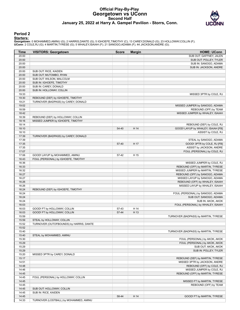# **Official Play-By-Play Georgetown vs UConn Second Half January 25, 2022 at Harry A. Gampel Pavilion - Storrs, Conn.**



## **Period 2**

#### **Starters:**

| Time  | <b>VISITORS: Georgetown</b>             | <b>Score</b> | <b>Margin</b> | <b>HOME: UConn</b>                   |
|-------|-----------------------------------------|--------------|---------------|--------------------------------------|
| 20:00 |                                         |              |               | SUB OUT: GAFFNEY, JALEN              |
| 20:00 |                                         |              |               | SUB OUT: POLLEY, TYLER               |
| 20:00 |                                         |              |               | SUB IN: SANOGO, ADAMA                |
| 20:00 |                                         |              |               | SUB IN: JACKSON, ANDRE               |
| 20:00 | SUB OUT: RICE, KAIDEN                   |              |               |                                      |
| 20:00 | SUB OUT: MUTOMBO, RYAN                  |              |               |                                      |
| 20:00 | SUB OUT: WILSON, MALCOLM                |              |               |                                      |
| 20:00 | SUB IN: IGHOEFE, TIMOTHY                |              |               |                                      |
| 20:00 | SUB IN: CAREY, DONALD                   |              |               |                                      |
| 20:00 | SUB IN: HOLLOWAY, COLLIN                |              |               |                                      |
| 19:33 |                                         |              |               | MISSED 3PTR by COLE, RJ              |
| 19:30 | REBOUND (DEF) by IGHOEFE, TIMOTHY       |              |               |                                      |
| 19:21 | TURNOVER (BADPASS) by CAREY, DONALD     |              |               |                                      |
| 19:02 |                                         |              |               | MISSED JUMPER by SANOGO, ADAMA       |
| 18:59 |                                         |              |               | REBOUND (OFF) by TEAM                |
| 18:42 |                                         |              |               | MISSED JUMPER by WHALEY, ISAIAH      |
| 18:39 | REBOUND (DEF) by HOLLOWAY, COLLIN       |              |               |                                      |
| 18:16 | MISSED JUMPER by IGHOEFE, TIMOTHY       |              |               |                                      |
| 18:14 |                                         |              |               | REBOUND (DEF) by COLE, RJ            |
| 18:10 |                                         | 54-40        | H 14          | GOOD! LAYUP by WHALEY, ISAIAH [FB]   |
| 18:10 |                                         |              |               | ASSIST by COLE, RJ                   |
| 17:39 | TURNOVER (BADPASS) by CAREY, DONALD     |              |               |                                      |
| 17:39 |                                         |              |               | STEAL by SANOGO, ADAMA               |
| 17:35 |                                         | 57-40        | H 17          | GOOD! 3PTR by COLE, RJ [FB]          |
| 17:35 |                                         |              |               | ASSIST by JACKSON, ANDRE             |
| 17:07 |                                         |              |               | FOUL (PERSONAL) by COLE, RJ          |
| 17:06 | GOOD! LAYUP by MOHAMMED, AMINU          | 57-42        | H 15          |                                      |
| 16:43 | FOUL (PERSONAL) by IGHOEFE, TIMOTHY     |              |               |                                      |
| 16:36 |                                         |              |               | MISSED JUMPER by COLE, RJ            |
| 16:33 |                                         |              |               | REBOUND (OFF) by MARTIN, TYRESE      |
| 16:32 |                                         |              |               | MISSED JUMPER by MARTIN, TYRESE      |
| 16:27 |                                         |              |               | REBOUND (OFF) by SANOGO, ADAMA       |
| 16:27 |                                         |              |               | MISSED LAYUP by SANOGO, ADAMA        |
| 16:26 |                                         |              |               | REBOUND (OFF) by WHALEY, ISAIAH      |
| 16:26 |                                         |              |               | MISSED LAYUP by WHALEY, ISAIAH       |
| 16:24 | REBOUND (DEF) by IGHOEFE, TIMOTHY       |              |               |                                      |
| 16:24 |                                         |              |               | FOUL (PERSONAL) by SANOGO, ADAMA     |
| 16:24 |                                         |              |               | SUB OUT: SANOGO, ADAMA               |
| 16:24 |                                         |              |               | SUB IN: AKOK, AKOK                   |
| 16:03 |                                         |              |               | FOUL (PERSONAL) by WHALEY, ISAIAH    |
| 16:03 | GOOD! FT by HOLLOWAY, COLLIN            | 57-43        | H 14          |                                      |
| 16:03 | GOOD! FT by HOLLOWAY, COLLIN            | 57-44        | H 13          |                                      |
| 15:59 |                                         |              |               | TURNOVER (BADPASS) by MARTIN, TYRESE |
| 15:59 | STEAL by HOLLOWAY, COLLIN               |              |               |                                      |
| 15:52 | TURNOVER (OUTOFBOUNDS) by HARRIS, DANTE |              |               |                                      |
| 15:52 |                                         |              |               |                                      |
| 15:40 |                                         |              |               | TURNOVER (BADPASS) by MARTIN, TYRESE |
| 15:40 | STEAL by MOHAMMED, AMINU                |              |               |                                      |
| 15:30 |                                         |              |               | FOUL (PERSONAL) by AKOK, AKOK        |
| 15:29 |                                         |              |               | FOUL (PERSONAL) by AKOK, AKOK        |
| 15:29 |                                         |              |               | SUB OUT: AKOK, AKOK                  |
| 15:29 |                                         |              |               | SUB IN: POLLEY, TYLER                |
| 15:20 | MISSED 3PTR by CAREY, DONALD            |              |               |                                      |
| 15:17 |                                         |              |               | REBOUND (DEF) by MARTIN, TYRESE      |
| 14:51 |                                         |              |               | MISSED 3PTR by JACKSON, ANDRE        |
| 14:48 |                                         |              |               | REBOUND (OFF) by COLE, RJ            |
| 14:46 |                                         |              |               | MISSED JUMPER by COLE, RJ            |
| 14:45 |                                         |              |               | REBOUND (OFF) by MARTIN, TYRESE      |
| 14:45 | FOUL (PERSONAL) by HOLLOWAY, COLLIN     |              |               |                                      |
| 14:45 |                                         |              |               | MISSED FT by MARTIN, TYRESE          |
| 14:45 |                                         |              |               | REBOUND (OFF) by TEAM                |
| 14:45 | SUB OUT: HOLLOWAY, COLLIN               |              |               |                                      |
| 14:45 | SUB IN: RICE, KAIDEN                    |              |               |                                      |
| 14:45 |                                         | 58-44        | H 14          | GOOD! FT by MARTIN, TYRESE           |
| 14:33 | TURNOVER (LOSTBALL) by MOHAMMED, AMINU  |              |               |                                      |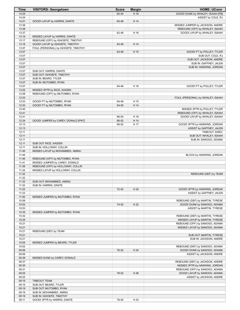| Time           | <b>VISITORS: Georgetown</b>                                           | <b>Score</b>   | <b>Margin</b> | <b>HOME: UConn</b>                                               |
|----------------|-----------------------------------------------------------------------|----------------|---------------|------------------------------------------------------------------|
| 14:24          |                                                                       | 60-44          | H 16          | GOOD! DUNK by WHALEY, ISAIAH [FB]                                |
| 14:24          |                                                                       |                |               | ASSIST by COLE, RJ                                               |
| 14:01          | GOOD! LAYUP by HARRIS, DANTE                                          | 60-46          | H 14          |                                                                  |
| 13:38          |                                                                       |                |               | MISSED JUMPER by JACKSON, ANDRE                                  |
| 13:38<br>13:37 |                                                                       | 62-46          | H 16          | REBOUND (OFF) by WHALEY, ISAIAH<br>GOOD! LAYUP by WHALEY, ISAIAH |
| 13:19          | MISSED LAYUP by HARRIS, DANTE                                         |                |               |                                                                  |
| 13:17          | REBOUND (OFF) by IGHOEFE, TIMOTHY                                     |                |               |                                                                  |
| 13:16          | GOOD! LAYUP by IGHOEFE, TIMOTHY                                       | 62-48          | H 14          |                                                                  |
| 13:07          | FOUL (PERSONAL) by IGHOEFE, TIMOTHY                                   |                |               |                                                                  |
| 13:07          |                                                                       | 63-48          | H 15          | GOOD! FT by POLLEY, TYLER                                        |
| 13:07          |                                                                       |                |               | SUB OUT: COLE, RJ                                                |
| 13:07          |                                                                       |                |               | SUB OUT: JACKSON, ANDRE                                          |
| 13:07          |                                                                       |                |               | SUB IN: GAFFNEY, JALEN                                           |
| 13:07          |                                                                       |                |               | SUB IN: HAWKINS, JORDAN                                          |
| 13:07          | SUB OUT: HARRIS, DANTE                                                |                |               |                                                                  |
| 13:07<br>13:07 | SUB OUT: IGHOEFE, TIMOTHY<br>SUB IN: BEARD, TYLER                     |                |               |                                                                  |
| 13:07          | SUB IN: MUTOMBO, RYAN                                                 |                |               |                                                                  |
| 13:07          |                                                                       | 64-48          | H 16          | GOOD! FT by POLLEY, TYLER                                        |
| 13:02          | MISSED 3PTR by RICE, KAIDEN                                           |                |               |                                                                  |
| 12:58          | REBOUND (OFF) by MUTOMBO, RYAN                                        |                |               |                                                                  |
| 12:53          |                                                                       |                |               | FOUL (PERSONAL) by WHALEY, ISAIAH                                |
| 12:53          | GOOD! FT by MUTOMBO, RYAN                                             | 64-49          | H 15          |                                                                  |
| 12:53          | GOOD! FT by MUTOMBO, RYAN                                             | 64-50          | H 14          |                                                                  |
| 12:45          |                                                                       |                |               | MISSED 3PTR by POLLEY, TYLER                                     |
| 12:41          |                                                                       |                |               | REBOUND (OFF) by WHALEY, ISAIAH                                  |
| 12:41          |                                                                       | 66-50          | H 16          | GOOD! LAYUP by WHALEY, ISAIAH                                    |
| 12:24<br>12:13 | GOOD! JUMPER by CAREY, DONALD [PNT]                                   | 66-52<br>69-52 | H 14<br>H 17  |                                                                  |
| 12:13          |                                                                       |                |               | GOOD! 3PTR by HAWKINS, JORDAN<br>ASSIST by GAFFNEY, JALEN        |
| 12:11          |                                                                       |                |               | TIMEOUT 30SEC                                                    |
| 12:11          |                                                                       |                |               | SUB OUT: WHALEY, ISAIAH                                          |
| 12:11          |                                                                       |                |               | SUB IN: SANOGO, ADAMA                                            |
| 12:11          | SUB OUT: RICE, KAIDEN                                                 |                |               |                                                                  |
| 12:11          | SUB IN: HOLLOWAY, COLLIN                                              |                |               |                                                                  |
| 11:49          | MISSED LAYUP by MOHAMMED, AMINU                                       |                |               |                                                                  |
| 11:49          |                                                                       |                |               | BLOCK by HAWKINS, JORDAN                                         |
| 11:46          | REBOUND (OFF) by MUTOMBO, RYAN                                        |                |               |                                                                  |
| 11:41<br>11:38 | MISSED JUMPER by CAREY, DONALD                                        |                |               |                                                                  |
| 11:34          | REBOUND (OFF) by HOLLOWAY, COLLIN<br>MISSED LAYUP by HOLLOWAY, COLLIN |                |               |                                                                  |
| 11:32          |                                                                       |                |               | REBOUND (DEF) by TEAM                                            |
| 11:32          |                                                                       |                |               |                                                                  |
| 11:32          | SUB OUT: MOHAMMED, AMINU                                              |                |               |                                                                  |
| 11:32          | SUB IN: HARRIS, DANTE                                                 |                |               |                                                                  |
| 11:23          |                                                                       | 72-52          | H 20          | GOOD! 3PTR by HAWKINS, JORDAN                                    |
| 11:23          |                                                                       |                |               | ASSIST by GAFFNEY, JALEN                                         |
| 11:00          | MISSED JUMPER by MUTOMBO, RYAN                                        |                |               |                                                                  |
| 10:58          |                                                                       |                |               | REBOUND (DEF) by MARTIN, TYRESE                                  |
| 10:53<br>10:53 |                                                                       | 74-52          | H 22          | GOOD! DUNK by SANOGO, ADAMA<br>ASSIST by MARTIN, TYRESE          |
| 10:35          | MISSED JUMPER by MUTOMBO, RYAN                                        |                |               |                                                                  |
| 10:32          |                                                                       |                |               | REBOUND (DEF) by MARTIN, TYRESE                                  |
| 10:25          |                                                                       |                |               | MISSED LAYUP by MARTIN, TYRESE                                   |
| 10:21          |                                                                       |                |               | REBOUND (OFF) by SANOGO, ADAMA                                   |
| 10:21          |                                                                       |                |               | MISSED LAYUP by SANOGO, ADAMA                                    |
| 10:21          | REBOUND (DEF) by TEAM                                                 |                |               |                                                                  |
| 10:21          |                                                                       |                |               | SUB OUT: MARTIN, TYRESE                                          |
| 10:21          |                                                                       |                |               | SUB IN: JACKSON, ANDRE                                           |
| 10:05          | MISSED JUMPER by BEARD, TYLER                                         |                |               |                                                                  |
| 10:02          |                                                                       |                |               | REBOUND (DEF) by SANOGO, ADAMA                                   |
| 09:56<br>09:56 |                                                                       | 76-52          | H 24          | GOOD! DUNK by SANOGO, ADAMA<br>ASSIST by JACKSON, ANDRE          |
| 09:39          | MISSED DUNK by CAREY, DONALD                                          |                |               |                                                                  |
| 09:37          |                                                                       |                |               | REBOUND (DEF) by JACKSON, ANDRE                                  |
| 09:35          |                                                                       |                |               | MISSED 3PTR by HAWKINS, JORDAN                                   |
| 09:31          |                                                                       |                |               | REBOUND (OFF) by SANOGO, ADAMA                                   |
| 09:25          |                                                                       | 78-52          | H 26          | GOOD! LAYUP by SANOGO, ADAMA                                     |
| 09:25          |                                                                       |                |               | ASSIST by JACKSON, ANDRE                                         |
| 09:19          | <b>TIMEOUT TEAM</b>                                                   |                |               |                                                                  |
| 09:19          | SUB OUT: BEARD, TYLER                                                 |                |               |                                                                  |
| 09:19          | SUB OUT: MUTOMBO, RYAN                                                |                |               |                                                                  |
| 09:19<br>09:19 | SUB IN: MOHAMMED, AMINU<br>SUB IN: IGHOEFE, TIMOTHY                   |                |               |                                                                  |
| 09:11          | GOOD! 3PTR by HARRIS, DANTE                                           | 78-55          | H 23          |                                                                  |
|                |                                                                       |                |               |                                                                  |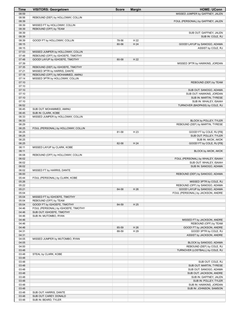| <b>Time</b>    | <b>VISITORS: Georgetown</b>                              | <b>Score</b> | <b>Margin</b> | <b>HOME: UConn</b>                                           |
|----------------|----------------------------------------------------------|--------------|---------------|--------------------------------------------------------------|
| 08:59          |                                                          |              |               | MISSED JUMPER by GAFFNEY, JALEN                              |
| 08:56          | REBOUND (DEF) by HOLLOWAY, COLLIN                        |              |               |                                                              |
| 08:39          |                                                          |              |               | FOUL (PERSONAL) by GAFFNEY, JALEN                            |
| 08:39          | MISSED FT by HOLLOWAY, COLLIN                            |              |               |                                                              |
| 08:39          | REBOUND (OFF) by TEAM                                    |              |               |                                                              |
| 08:39          |                                                          |              |               | SUB OUT: GAFFNEY, JALEN                                      |
| 08:39<br>08:39 |                                                          | 78-56        | H 22          | SUB IN: COLE, RJ                                             |
| 08:15          | GOOD! FT by HOLLOWAY, COLLIN                             | 80-56        | H 24          | GOOD! LAYUP by SANOGO, ADAMA                                 |
| 08:15          |                                                          |              |               | ASSIST by COLE, RJ                                           |
| 07:53          | MISSED JUMPER by HOLLOWAY, COLLIN                        |              |               |                                                              |
| 07:48          | REBOUND (OFF) by IGHOEFE, TIMOTHY                        |              |               |                                                              |
| 07:48          | GOOD! LAYUP by IGHOEFE, TIMOTHY                          | 80-58        | H 22          |                                                              |
| 07:39          |                                                          |              |               | MISSED 3PTR by HAWKINS, JORDAN                               |
| 07:35          | REBOUND (DEF) by IGHOEFE, TIMOTHY                        |              |               |                                                              |
| 07:21          | MISSED 3PTR by HARRIS, DANTE                             |              |               |                                                              |
| 07:18          | REBOUND (OFF) by MOHAMMED, AMINU                         |              |               |                                                              |
| 07:14          | MISSED 3PTR by HOLLOWAY, COLLIN                          |              |               |                                                              |
| 07:10          |                                                          |              |               | REBOUND (DEF) by TEAM                                        |
| 07:10          |                                                          |              |               |                                                              |
| 07:10          |                                                          |              |               | SUB OUT: SANOGO, ADAMA                                       |
| 07:10          |                                                          |              |               | SUB OUT: HAWKINS, JORDAN                                     |
| 07:10          |                                                          |              |               | SUB IN: MARTIN, TYRESE                                       |
| 07:10          |                                                          |              |               | SUB IN: WHALEY, ISAIAH                                       |
| 06:52          |                                                          |              |               | TURNOVER (BADPASS) by COLE, RJ                               |
| 06:45          | SUB OUT: MOHAMMED, AMINU                                 |              |               |                                                              |
| 06:45<br>06:33 | SUB IN: CLARK, KOBE<br>MISSED JUMPER by HOLLOWAY, COLLIN |              |               |                                                              |
| 06:33          |                                                          |              |               | BLOCK by POLLEY, TYLER                                       |
| 06:29          |                                                          |              |               | REBOUND (DEF) by MARTIN, TYRESE                              |
| 06:25          | FOUL (PERSONAL) by HOLLOWAY, COLLIN                      |              |               |                                                              |
| 06:25          |                                                          | 81-58        | H 23          | GOOD! FT by COLE, RJ [FB]                                    |
| 06:25          |                                                          |              |               | SUB OUT: POLLEY, TYLER                                       |
| 06:25          |                                                          |              |               | SUB IN: AKOK, AKOK                                           |
| 06:25          |                                                          | 82-58        | H 24          | GOOD! FT by COLE, RJ [FB]                                    |
| 06:11          | MISSED LAYUP by CLARK, KOBE                              |              |               |                                                              |
| 06:11          |                                                          |              |               | <b>BLOCK by AKOK, AKOK</b>                                   |
| 06:08          | REBOUND (OFF) by HOLLOWAY, COLLIN                        |              |               |                                                              |
| 06:02          |                                                          |              |               | FOUL (PERSONAL) by WHALEY, ISAIAH                            |
| 06:02          |                                                          |              |               | SUB OUT: WHALEY, ISAIAH                                      |
| 06:02          |                                                          |              |               | SUB IN: SANOGO, ADAMA                                        |
| 06:02          | MISSED FT by HARRIS, DANTE                               |              |               |                                                              |
| 06:00          |                                                          |              |               | REBOUND (DEF) by SANOGO, ADAMA                               |
| 05:44          | FOUL (PERSONAL) by CLARK, KOBE                           |              |               |                                                              |
| 05:26<br>05:22 |                                                          |              |               | MISSED 3PTR by COLE, RJ<br>REBOUND (OFF) by SANOGO, ADAMA    |
| 05:21          |                                                          | 84-58        | H 26          | GOOD! LAYUP by SANOGO, ADAMA                                 |
| 05:04          |                                                          |              |               | FOUL (PERSONAL) by JACKSON, ANDRE                            |
| 05:04          | MISSED FT by IGHOEFE, TIMOTHY                            |              |               |                                                              |
| 05:04          | REBOUND (OFF) by TEAM                                    |              |               |                                                              |
| 05:04          | GOOD! FT by IGHOEFE, TIMOTHY                             | 84-59        | H 25          |                                                              |
| 04:46          | FOUL (PERSONAL) by IGHOEFE, TIMOTHY                      |              |               |                                                              |
| 04:46          | SUB OUT: IGHOEFE, TIMOTHY                                |              |               |                                                              |
| 04:46          | SUB IN: MUTOMBO, RYAN                                    |              |               |                                                              |
| 04:46          |                                                          |              |               | MISSED FT by JACKSON, ANDRE                                  |
| 04:46          |                                                          |              |               | REBOUND (OFF) by TEAM                                        |
| 04:46          |                                                          | 85-59        | H 26          | GOOD! FT by JACKSON, ANDRE                                   |
| 04:31          |                                                          | 88-59        | H 29          | GOOD! 3PTR by COLE, RJ                                       |
| 04:31          |                                                          |              |               | ASSIST by JACKSON, ANDRE                                     |
| 04:05          | MISSED JUMPER by MUTOMBO, RYAN                           |              |               |                                                              |
| 04:05          |                                                          |              |               | BLOCK by SANOGO, ADAMA                                       |
| 04:00<br>03:48 |                                                          |              |               | REBOUND (DEF) by COLE, RJ<br>TURNOVER (LOSTBALL) by COLE, RJ |
| 03:48          | STEAL by CLARK, KOBE                                     |              |               |                                                              |
| 03:48          |                                                          |              |               |                                                              |
| 03:48          |                                                          |              |               | SUB OUT: COLE, RJ                                            |
| 03:48          |                                                          |              |               | SUB OUT: MARTIN, TYRESE                                      |
| 03:48          |                                                          |              |               | SUB OUT: SANOGO, ADAMA                                       |
| 03:48          |                                                          |              |               | SUB OUT: JACKSON, ANDRE                                      |
| 03:48          |                                                          |              |               | SUB IN: GAFFNEY, JALEN                                       |
| 03:48          |                                                          |              |               | SUB IN: POLLEY, TYLER                                        |
| 03:48          |                                                          |              |               | SUB IN: HAWKINS, JORDAN                                      |
| 03:48          |                                                          |              |               | SUB IN: JOHNSON, SAMSON                                      |
| 03:48          | SUB OUT: HARRIS, DANTE                                   |              |               |                                                              |
| 03:48          | SUB OUT: CAREY, DONALD                                   |              |               |                                                              |
| 03:48          | SUB IN: BEARD, TYLER                                     |              |               |                                                              |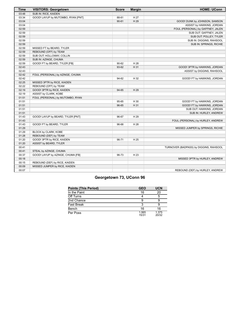| <b>Time</b> | <b>VISITORS: Georgetown</b>        | <b>Score</b> | <b>Margin</b> | <b>HOME: UConn</b>                     |
|-------------|------------------------------------|--------------|---------------|----------------------------------------|
| 03:48       | SUB IN: RICE, KAIDEN               |              |               |                                        |
| 03:34       | GOOD! LAYUP by MUTOMBO, RYAN [PNT] | 88-61        | H 27          |                                        |
| 03:04       |                                    | $90 - 61$    | H 29          | GOOD! DUNK by JOHNSON, SAMSON          |
| 03:04       |                                    |              |               | ASSIST by HAWKINS, JORDAN              |
| 02:59       |                                    |              |               | FOUL (PERSONAL) by GAFFNEY, JALEN      |
| 02:59       |                                    |              |               | SUB OUT: GAFFNEY, JALEN                |
| 02:59       |                                    |              |               | SUB OUT: POLLEY, TYLER                 |
| 02:59       |                                    |              |               | SUB IN: DIGGINS, RAHSOOL               |
| 02:59       |                                    |              |               | SUB IN: SPRINGS, RICHIE                |
| 02:59       | MISSED FT by BEARD, TYLER          |              |               |                                        |
| 02:59       | REBOUND (OFF) by TEAM              |              |               |                                        |
| 02:59       | SUB OUT: HOLLOWAY, COLLIN          |              |               |                                        |
| 02:59       | SUB IN: AZINGE, CHUMA              |              |               |                                        |
| 02:59       | GOOD! FT by BEARD, TYLER [FB]      | 90-62        | H 28          |                                        |
| 02:43       |                                    | 93-62        | H 31          | GOOD! 3PTR by HAWKINS, JORDAN          |
| 02:43       |                                    |              |               | ASSIST by DIGGINS, RAHSOOL             |
| 02:42       | FOUL (PERSONAL) by AZINGE, CHUMA   |              |               |                                        |
| 02:42       |                                    | 94-62        | H 32          | GOOD! FT by HAWKINS, JORDAN            |
| 02:25       | MISSED 3PTR by RICE, KAIDEN        |              |               |                                        |
| 02:22       | REBOUND (OFF) by TEAM              |              |               |                                        |
| 02:19       | GOOD! 3PTR by RICE, KAIDEN         | 94-65        | H 29          |                                        |
| 02:19       | ASSIST by CLARK, KOBE              |              |               |                                        |
| 01:51       | FOUL (PERSONAL) by MUTOMBO, RYAN   |              |               |                                        |
| 01:51       |                                    | 95-65        | H 30          | GOOD! FT by HAWKINS, JORDAN            |
| 01:51       |                                    | 96-65        | H 31          | GOOD! FT by HAWKINS, JORDAN            |
| 01:51       |                                    |              |               | SUB OUT: HAWKINS, JORDAN               |
| 01:51       |                                    |              |               | SUB IN: HURLEY, ANDREW                 |
| 01:43       | GOOD! LAYUP by BEARD, TYLER [PNT]  | 96-67        | H 29          |                                        |
| 01:43       |                                    |              |               | FOUL (PERSONAL) by HURLEY, ANDREW      |
| 01:43       | GOOD! FT by BEARD, TYLER           | 96-68        | H 28          |                                        |
| 01:29       |                                    |              |               | MISSED JUMPER by SPRINGS, RICHIE       |
| 01:29       | BLOCK by CLARK, KOBE               |              |               |                                        |
| 01:28       | REBOUND (DEF) by TEAM              |              |               |                                        |
| 01:20       | GOOD! 3PTR by RICE, KAIDEN         | 96-71        | H 25          |                                        |
| 01:20       | ASSIST by BEARD, TYLER             |              |               |                                        |
| 00:41       |                                    |              |               | TURNOVER (BADPASS) by DIGGINS, RAHSOOL |
| 00:41       | STEAL by AZINGE, CHUMA             |              |               |                                        |
| 00:37       | GOOD! LAYUP by AZINGE, CHUMA [FB]  | 96-73        | H 23          |                                        |
| 00:18       |                                    |              |               | MISSED 3PTR by HURLEY, ANDREW          |
| 00:15       | REBOUND (DEF) by RICE, KAIDEN      |              |               |                                        |
| 00:09       | MISSED JUMPER by RICE, KAIDEN      |              |               |                                        |
| 00:07       |                                    |              |               | REBOUND (DEF) by HURLEY, ANDREW        |

# **Georgetown 73, UConn 96**

| <b>Points (This Period)</b> | <b>GEO</b>     | <b>UCN</b>     |
|-----------------------------|----------------|----------------|
| In the Paint                | 16             | 20             |
| Off Turns                   |                |                |
| 2nd Chance                  |                |                |
| <b>Fast Break</b>           |                |                |
| Bench                       | 16             | 16             |
| Per Poss                    | 1.065<br>15/31 | 1.375<br>20/32 |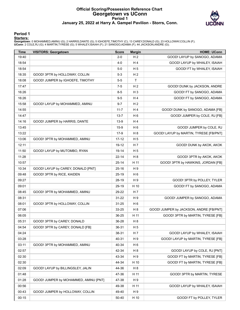# **Official Scoring/Possession Reference Chart Georgetown vs UConn Period 1 January 25, 2022 at Harry A. Gampel Pavilion - Storrs, Conn.**



## **Period 1**

#### **Starters:**

| <b>Time</b> | <b>VISITORS: Georgetown</b>           | <b>Score</b> | <b>Margin</b>  | <b>HOME: UConn</b>                      |
|-------------|---------------------------------------|--------------|----------------|-----------------------------------------|
| 19:40       |                                       | $2 - 0$      | H <sub>2</sub> | GOOD! LAYUP by SANOGO, ADAMA            |
| 18:54       |                                       | 4-0          | H 4            | GOOD! LAYUP by WHALEY, ISAIAH           |
| 18:54       |                                       | $5-0$        | H <sub>5</sub> | GOOD! FT by WHALEY, ISAIAH              |
| 18:35       | GOOD! 3PTR by HOLLOWAY, COLLIN        | $5-3$        | H <sub>2</sub> |                                         |
| 18:08       | GOOD! JUMPER by IGHOEFE, TIMOTHY      | 5-5          | $\mathsf{T}$   |                                         |
| 17:47       |                                       | 7-5          | H <sub>2</sub> | GOOD! DUNK by JACKSON, ANDRE            |
| 16:26       |                                       | $8-5$        | $H_3$          | GOOD! FT by SANOGO, ADAMA               |
| 16:26       |                                       | $9 - 5$      | H4             | GOOD! FT by SANOGO, ADAMA               |
| 15:58       | GOOD! LAYUP by MOHAMMED, AMINU        | $9 - 7$      | H <sub>2</sub> |                                         |
| 14:55       |                                       | $11 - 7$     | H 4            | GOOD! DUNK by SANOGO, ADAMA [FB]        |
| 14:47       |                                       | $13 - 7$     | H <sub>6</sub> | GOOD! JUMPER by COLE, RJ [FB]           |
| 14:16       | GOOD! JUMPER by HARRIS, DANTE         | 13-9         | H4             |                                         |
| 13:45       |                                       | $15-9$       | H 6            | GOOD! JUMPER by COLE, RJ                |
| 13:22       |                                       | 17-9         | H 8            | GOOD! LAYUP by MARTIN, TYRESE [FB/PNT]  |
| 13:06       | GOOD! 3PTR by MOHAMMED, AMINU         | 17-12        | H <sub>5</sub> |                                         |
| 12:11       |                                       | $19-12$      | H 7            | GOOD! DUNK by AKOK, AKOK                |
| 11:50       | GOOD! LAYUP by MUTOMBO, RYAN          | 19-14        | H <sub>5</sub> |                                         |
| 11:28       |                                       | $22 - 14$    | H 8            | GOOD! 3PTR by AKOK, AKOK                |
| 10:57       |                                       | $25 - 14$    | H 11           | GOOD! 3PTR by HAWKINS, JORDAN [FB]      |
| 10:34       | GOOD! LAYUP by CAREY, DONALD [PNT]    | $25 - 16$    | H <sub>9</sub> |                                         |
| 09:48       | GOOD! 3PTR by RICE, KAIDEN            | $25-19$      | H <sub>6</sub> |                                         |
| 09:27       |                                       | 28-19        | H 9            | GOOD! 3PTR by POLLEY, TYLER             |
| 09:01       |                                       | 29-19        | H 10           | GOOD! FT by SANOGO, ADAMA               |
| 08:45       | GOOD! 3PTR by MOHAMMED, AMINU         | 29-22        | H 7            |                                         |
| 08:31       |                                       | 31-22        | H <sub>9</sub> | GOOD! JUMPER by SANOGO, ADAMA           |
| 08:01       | GOOD! 3PTR by HOLLOWAY, COLLIN        | $31 - 25$    | H 6            |                                         |
| 07:06       |                                       | 33-25        | H <sub>8</sub> | GOOD! JUMPER by JACKSON, ANDRE [FB/PNT] |
| 06:05       |                                       | 36-25        | H 11           | GOOD! 3PTR by MARTIN, TYRESE [FB]       |
| 05:31       | GOOD! 3PTR by CAREY, DONALD           | 36-28        | H <sub>8</sub> |                                         |
| 04:54       | GOOD! 3PTR by CAREY, DONALD [FB]      | 36-31        | H 5            |                                         |
| 04:24       |                                       | 38-31        | H 7            | GOOD! LAYUP by WHALEY, ISAIAH           |
| 03:28       |                                       | 40-31        | H 9            | GOOD! LAYUP by MARTIN, TYRESE [FB]      |
| 03:11       | GOOD! 3PTR by MOHAMMED, AMINU         | 40-34        | H 6            |                                         |
| 02:57       |                                       | 42-34        | H <sub>8</sub> | GOOD! LAYUP by COLE, RJ [PNT]           |
| 02:30       |                                       | 43-34        | H 9            | GOOD! FT by MARTIN, TYRESE [FB]         |
| 02:30       |                                       | 44-34        | H 10           | GOOD! FT by MARTIN, TYRESE [FB]         |
| 02:09       | GOOD! LAYUP by BILLINGSLEY, JALIN     | 44-36        | H <sub>8</sub> |                                         |
| 01:48       |                                       | 47-36        | H 11           | GOOD! 3PTR by MARTIN, TYRESE            |
| 01:28       | GOOD! JUMPER by MOHAMMED, AMINU [PNT] | 47-38        | H 9            |                                         |
| 00:56       |                                       | 49-38        | H 11           | GOOD! LAYUP by WHALEY, ISAIAH           |
| 00:43       | GOOD! JUMPER by HOLLOWAY, COLLIN      | 49-40        | H 9            |                                         |
| 00:15       |                                       | 50-40        | H 10           | GOOD! FT by POLLEY, TYLER               |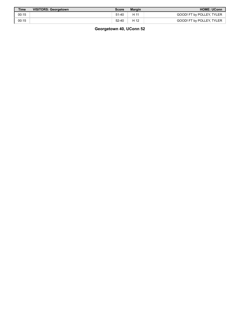| <b>Time</b> | <b>VISITORS: Georgetown</b> | Score     | <b>Margin</b> | <b>HOME: UConn</b>        |
|-------------|-----------------------------|-----------|---------------|---------------------------|
| 00:15       |                             | $51 - 40$ | H 11          | GOOD! FT by POLLEY, TYLER |
| 00:15       |                             | $52 - 40$ | H 12          | GOOD! FT by POLLEY, TYLER |

**Georgetown 40, UConn 52**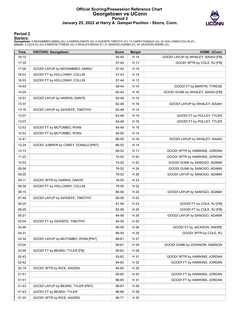# **Official Scoring/Possession Reference Chart Georgetown vs UConn Period 2 January 25, 2022 at Harry A. Gampel Pavilion - Storrs, Conn.**



## **Period 2**

#### **Starters:**

| <b>Time</b> | <b>VISITORS: Georgetown</b>         | <b>Score</b> | <b>Margin</b> | <b>HOME: UConn</b>                 |
|-------------|-------------------------------------|--------------|---------------|------------------------------------|
| 18:10       |                                     | 54-40        | H 14          | GOOD! LAYUP by WHALEY, ISAIAH [FB] |
| 17:35       |                                     | 57-40        | H 17          | GOOD! 3PTR by COLE, RJ [FB]        |
| 17:06       | GOOD! LAYUP by MOHAMMED, AMINU      | 57-42        | H 15          |                                    |
| 16:03       | GOOD! FT by HOLLOWAY, COLLIN        | 57-43        | H 14          |                                    |
| 16:03       | GOOD! FT by HOLLOWAY, COLLIN        | 57-44        | H 13          |                                    |
| 14:45       |                                     | 58-44        | H 14          | GOOD! FT by MARTIN, TYRESE         |
| 14:24       |                                     | 60-44        | H 16          | GOOD! DUNK by WHALEY, ISAIAH [FB]  |
| 14:01       | GOOD! LAYUP by HARRIS, DANTE        | 60-46        | H 14          |                                    |
| 13:37       |                                     | 62-46        | H 16          | GOOD! LAYUP by WHALEY, ISAIAH      |
| 13:16       | GOOD! LAYUP by IGHOEFE, TIMOTHY     | 62-48        | H 14          |                                    |
| 13:07       |                                     | 63-48        | H 15          | GOOD! FT by POLLEY, TYLER          |
| 13:07       |                                     | 64-48        | H 16          | GOOD! FT by POLLEY, TYLER          |
| 12:53       | GOOD! FT by MUTOMBO, RYAN           | 64-49        | H 15          |                                    |
| 12:53       | GOOD! FT by MUTOMBO, RYAN           | 64-50        | H 14          |                                    |
| 12:41       |                                     | 66-50        | H 16          | GOOD! LAYUP by WHALEY, ISAIAH      |
| 12:24       | GOOD! JUMPER by CAREY, DONALD [PNT] | 66-52        | H 14          |                                    |
| 12:13       |                                     | 69-52        | H 17          | GOOD! 3PTR by HAWKINS, JORDAN      |
| 11:23       |                                     | 72-52        | H 20          | GOOD! 3PTR by HAWKINS, JORDAN      |
| 10:53       |                                     | 74-52        | H 22          | GOOD! DUNK by SANOGO, ADAMA        |
| 09:56       |                                     | 76-52        | H 24          | GOOD! DUNK by SANOGO, ADAMA        |
| 09:25       |                                     | 78-52        | H 26          | GOOD! LAYUP by SANOGO, ADAMA       |
| 09:11       | GOOD! 3PTR by HARRIS, DANTE         | 78-55        | H 23          |                                    |
| 08:39       | GOOD! FT by HOLLOWAY, COLLIN        | 78-56        | H 22          |                                    |
| 08:15       |                                     | 80-56        | H 24          | GOOD! LAYUP by SANOGO, ADAMA       |
| 07:48       | GOOD! LAYUP by IGHOEFE, TIMOTHY     | 80-58        | H 22          |                                    |
| 06:25       |                                     | 81-58        | H 23          | GOOD! FT by COLE, RJ [FB]          |
| 06:25       |                                     | 82-58        | H 24          | GOOD! FT by COLE, RJ [FB]          |
| 05:21       |                                     | 84-58        | H 26          | GOOD! LAYUP by SANOGO, ADAMA       |
| 05:04       | GOOD! FT by IGHOEFE, TIMOTHY        | 84-59        | H 25          |                                    |
| 04:46       |                                     | 85-59        | H 26          | GOOD! FT by JACKSON, ANDRE         |
| 04:31       |                                     | 88-59        | H 29          | GOOD! 3PTR by COLE, RJ             |
| 03:34       | GOOD! LAYUP by MUTOMBO, RYAN [PNT]  | 88-61        | H 27          |                                    |
| 03:04       |                                     | 90-61        | H 29          | GOOD! DUNK by JOHNSON, SAMSON      |
| 02:59       | GOOD! FT by BEARD, TYLER [FB]       | 90-62        | H 28          |                                    |
| 02:43       |                                     | 93-62        | H 31          | GOOD! 3PTR by HAWKINS, JORDAN      |
| 02:42       |                                     | 94-62        | H 32          | GOOD! FT by HAWKINS, JORDAN        |
| 02:19       | GOOD! 3PTR by RICE, KAIDEN          | 94-65        | H 29          |                                    |
| 01:51       |                                     | 95-65        | H 30          | GOOD! FT by HAWKINS, JORDAN        |
| 01:51       |                                     | 96-65        | H 31          | GOOD! FT by HAWKINS, JORDAN        |
| 01:43       | GOOD! LAYUP by BEARD, TYLER [PNT]   | 96-67        | H 29          |                                    |
| 01:43       | GOOD! FT by BEARD, TYLER            | 96-68        | H 28          |                                    |
| 01:20       | GOOD! 3PTR by RICE, KAIDEN          | 96-71        | H 25          |                                    |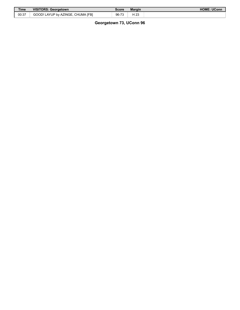| <b>Time</b> | <b>VISITORS: Georgetown</b>       | Score | <b>Margin</b> | <b>HOME: UConn</b> |
|-------------|-----------------------------------|-------|---------------|--------------------|
| 00:37       | GOOD! LAYUP by AZINGE, CHUMA IFBI | 96-73 | ተ 23          |                    |

# **Georgetown 73, UConn 96**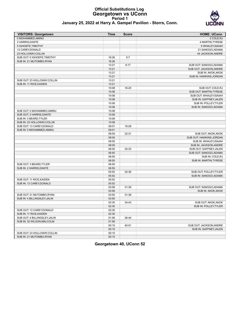# **Official Substitutions Log Georgetown vs UConn Period 1**



### **January 25, 2022 at Harry A. Gampel Pavilion - Storrs, Conn.**

| <b>VISITORS: Georgetown</b>   | <b>Time</b> | <b>Score</b> | <b>HOME: UConn</b>       |
|-------------------------------|-------------|--------------|--------------------------|
| 0 MOHAMMED.AMINU              |             |              | 2 COLE, RJ               |
| 2 HARRIS, DANTE               |             |              | 4 MARTIN, TYRESE         |
| 5 IGHOEFE, TIMOTHY            |             |              | 5 WHALEY, ISAIAH         |
| 13 CAREY, DONALD              |             |              | 21 SANOGO, ADAMA         |
| 23 HOLLOWAY, COLLIN           |             |              | 44 JACKSON, ANDRE        |
| SUB OUT: 5 IGHOEFE, TIMOTHY   | 16:26       | $5 - 7$      |                          |
| SUB IN: 21 MUTOMBO, RYAN      | 16:26       |              |                          |
|                               | 13:21       | $9 - 17$     | SUB OUT: SANOGO, ADAMA   |
|                               | 13:21       |              | SUB OUT: JACKSON, ANDRE  |
|                               | 13:21       |              | SUB IN: AKOK, AKOK       |
|                               | 13:21       |              | SUB IN: HAWKINS, JORDAN  |
| SUB OUT: 23 HOLLOWAY, COLLIN  | 13:21       |              |                          |
| SUB IN: 11 RICE, KAIDEN       | 13:21       |              |                          |
|                               | 10:08       | 16-25        | SUB OUT: COLE, RJ        |
|                               | 10:08       |              | SUB OUT: MARTIN, TYRESE  |
|                               | 10:08       |              | SUB OUT: WHALEY, ISAIAH  |
|                               | 10:08       |              | SUB IN: GAFFNEY, JALEN   |
|                               | 10:08       |              | SUB IN: POLLEY, TYLER    |
|                               | 10:08       |              | SUB IN: SANOGO, ADAMA    |
| SUB OUT: 0 MOHAMMED, AMINU    | 10:08       |              |                          |
| SUB OUT: 2 HARRIS, DANTE      | 10:08       |              |                          |
| SUB IN: 3 BEARD, TYLER        | 10:08       |              |                          |
| SUB IN: 23 HOLLOWAY, COLLIN   | 10:08       |              |                          |
| SUB OUT: 13 CAREY, DONALD     | 09:01       | 19-28        |                          |
| SUB IN: 0 MOHAMMED, AMINU     | 09:01       |              |                          |
|                               | 08:05       | 22-31        | SUB OUT: AKOK, AKOK      |
|                               | 08:05       |              | SUB OUT: HAWKINS, JORDAN |
|                               | 08:05       |              | SUB IN: WHALEY, ISAIAH   |
|                               | 08:05       |              | SUB IN: JACKSON, ANDRE   |
|                               | 06:50       | 25-33        | SUB OUT: GAFFNEY, JALEN  |
|                               | 06:50       |              | SUB OUT: SANOGO, ADAMA   |
|                               | 06:50       |              | SUB IN: COLE, RJ         |
|                               | 06:50       |              | SUB IN: MARTIN, TYRESE   |
| SUB OUT: 3 BEARD, TYLER       | 06:50       |              |                          |
| SUB IN: 2 HARRIS, DANTE       | 06:50       |              |                          |
|                               | 05:52       | 25-36        | SUB OUT: POLLEY, TYLER   |
|                               | 05:52       |              | SUB IN: SANOGO, ADAMA    |
| SUB OUT: 11 RICE, KAIDEN      | 05:52       |              |                          |
| SUB IN: 13 CAREY, DONALD      | 05:52       |              |                          |
|                               | 03:58       | 31-38        | SUB OUT: SANOGO, ADAMA   |
|                               | 03:58       |              | SUB IN: AKOK, AKOK       |
| SUB OUT: 21 MUTOMBO.RYAN      | 03:50       | 31-38        |                          |
| SUB IN: 4 BILLINGSLEY, JALIN  | 03:50       |              |                          |
|                               | 02:30       | 34-43        | SUB OUT: AKOK, AKOK      |
|                               | 02:30       |              | SUB IN: POLLEY, TYLER    |
| SUB OUT: 13 CAREY, DONALD     | 02:30       |              |                          |
| SUB IN: 11 RICE, KAIDEN       | 02:30       |              |                          |
| SUB OUT: 4 BILLINGSLEY, JALIN | 01:58       | 36-44        |                          |
| SUB IN: 32 WILSON, MALCOLM    | 01:58       |              |                          |
|                               | 00:15       | 40-51        | SUB OUT: JACKSON, ANDRE  |
|                               | 00:15       |              | SUB IN: GAFFNEY, JALEN   |
| SUB OUT: 23 HOLLOWAY, COLLIN  | 00:15       |              |                          |
| SUB IN: 21 MUTOMBO, RYAN      | 00:15       |              |                          |

**Georgetown 40, UConn 52**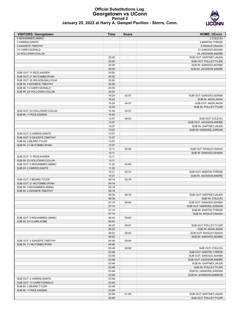# **Official Substitutions Log Georgetown vs UConn Period 2**



| <b>VISITORS: Georgetown</b>                             | <b>Time</b>    | <b>Score</b> | <b>HOME: UConn</b>       |
|---------------------------------------------------------|----------------|--------------|--------------------------|
| 0 MOHAMMED, AMINU                                       |                |              | 2 COLE, RJ               |
| 2 HARRIS, DANTE                                         |                |              | 4 MARTIN, TYRESE         |
| 5 IGHOEFE, TIMOTHY                                      |                |              | 5 WHALEY, ISAIAH         |
| 13 CAREY, DONALD                                        |                |              | 21 SANOGO, ADAMA         |
| 23 HOLLOWAY, COLLIN                                     |                |              | 44 JACKSON, ANDRE        |
|                                                         | 20:00          |              | SUB OUT: GAFFNEY, JALEN  |
|                                                         | 20:00          |              | SUB OUT: POLLEY, TYLER   |
|                                                         | 20:00          |              | SUB IN: SANOGO, ADAMA    |
|                                                         | 20:00          |              | SUB IN: JACKSON, ANDRE   |
| SUB OUT: 11 RICE, KAIDEN                                | 20:00          |              |                          |
| SUB OUT: 21 MUTOMBO, RYAN                               | 20:00          |              |                          |
| SUB OUT: 32 WILSON, MALCOLM                             | 20:00          |              |                          |
| SUB IN: 5 IGHOEFE, TIMOTHY                              | 20:00<br>20:00 |              |                          |
| SUB IN: 13 CAREY, DONALD<br>SUB IN: 23 HOLLOWAY, COLLIN | 20:00          |              |                          |
|                                                         | 16:24          | 42-57        | SUB OUT: SANOGO, ADAMA   |
|                                                         | 16:24          |              | SUB IN: AKOK, AKOK       |
|                                                         | 15:29          | 44-57        | SUB OUT: AKOK, AKOK      |
|                                                         | 15:29          |              | SUB IN: POLLEY, TYLER    |
| SUB OUT: 23 HOLLOWAY, COLLIN                            | 14:45          | 44-57        |                          |
| SUB IN: 11 RICE, KAIDEN                                 | 14:45          |              |                          |
|                                                         | 13:07          | 48-63        | SUB OUT: COLE, RJ        |
|                                                         | 13:07          |              | SUB OUT: JACKSON, ANDRE  |
|                                                         | 13:07          |              | SUB IN: GAFFNEY, JALEN   |
|                                                         | 13:07          |              | SUB IN: HAWKINS, JORDAN  |
| SUB OUT: 2 HARRIS, DANTE                                | 13:07          |              |                          |
| SUB OUT: 5 IGHOEFE, TIMOTHY                             | 13:07          |              |                          |
| SUB IN: 3 BEARD. TYLER                                  | 13:07          |              |                          |
| SUB IN: 21 MUTOMBO, RYAN                                | 13:07          |              |                          |
|                                                         | 12:11          | 52-69        | SUB OUT: WHALEY, ISAIAH  |
|                                                         | 12:11          |              | SUB IN: SANOGO, ADAMA    |
| SUB OUT: 11 RICE, KAIDEN                                | 12:11          |              |                          |
| SUB IN: 23 HOLLOWAY, COLLIN                             | 12:11          |              |                          |
| SUB OUT: 0 MOHAMMED, AMINU                              | 11:32          | 52-69        |                          |
| SUB IN: 2 HARRIS, DANTE                                 | 11:32          |              |                          |
|                                                         | 10:21          | 52-74        | SUB OUT: MARTIN, TYRESE  |
|                                                         | 10:21          |              | SUB IN: JACKSON, ANDRE   |
| SUB OUT: 3 BEARD, TYLER                                 | 09:19          | 52-78        |                          |
| SUB OUT: 21 MUTOMBO, RYAN                               | 09:19          |              |                          |
| SUB IN: 0 MOHAMMED, AMINU<br>SUB IN: 5 IGHOEFE, TIMOTHY | 09:19<br>09:19 |              |                          |
|                                                         | 08:39          | 55-78        | SUB OUT: GAFFNEY, JALEN  |
|                                                         | 08:39          |              | SUB IN: COLE, RJ         |
|                                                         | 07:10          | 58-80        | SUB OUT: SANOGO, ADAMA   |
|                                                         | 07:10          |              | SUB OUT: HAWKINS, JORDAN |
|                                                         | 07:10          |              | SUB IN: MARTIN, TYRESE   |
|                                                         | 07:10          |              | SUB IN: WHALEY, ISAIAH   |
| SUB OUT: 0 MOHAMMED, AMINU                              | 06:45          | 58-80        |                          |
| SUB IN: 24 CLARK, KOBE                                  | 06:45          |              |                          |
|                                                         | 06:25          | 58-81        | SUB OUT: POLLEY, TYLER   |
|                                                         | 06:25          |              | SUB IN: AKOK, AKOK       |
|                                                         | 06:02          | 58-82        | SUB OUT: WHALEY, ISAIAH  |
|                                                         | 06:02          |              | SUB IN: SANOGO, ADAMA    |
| SUB OUT: 5 IGHOEFE, TIMOTHY                             | 04:46          | 59-84        |                          |
| SUB IN: 21 MUTOMBO, RYAN                                | 04:46          |              |                          |
|                                                         | 03:48          | 59-88        | SUB OUT: COLE, RJ        |
|                                                         | 03:48          |              | SUB OUT: MARTIN, TYRESE  |
|                                                         | 03:48          |              | SUB OUT: SANOGO, ADAMA   |
|                                                         | 03:48          |              | SUB OUT: JACKSON, ANDRE  |
|                                                         | 03:48          |              | SUB IN: GAFFNEY, JALEN   |
|                                                         | 03:48          |              | SUB IN: POLLEY, TYLER    |
|                                                         | 03:48          |              | SUB IN: HAWKINS, JORDAN  |
|                                                         | 03:48          |              | SUB IN: JOHNSON, SAMSON  |
| SUB OUT: 2 HARRIS, DANTE                                | 03:48          |              |                          |
| SUB OUT: 13 CAREY, DONALD                               | 03:48          |              |                          |
| SUB IN: 3 BEARD, TYLER                                  | 03:48          |              |                          |
| SUB IN: 11 RICE, KAIDEN                                 | 03:48          |              |                          |
|                                                         | 02:59          | 61-90        | SUB OUT: GAFFNEY, JALEN  |
|                                                         | 02:59          |              | SUB OUT: POLLEY, TYLER   |